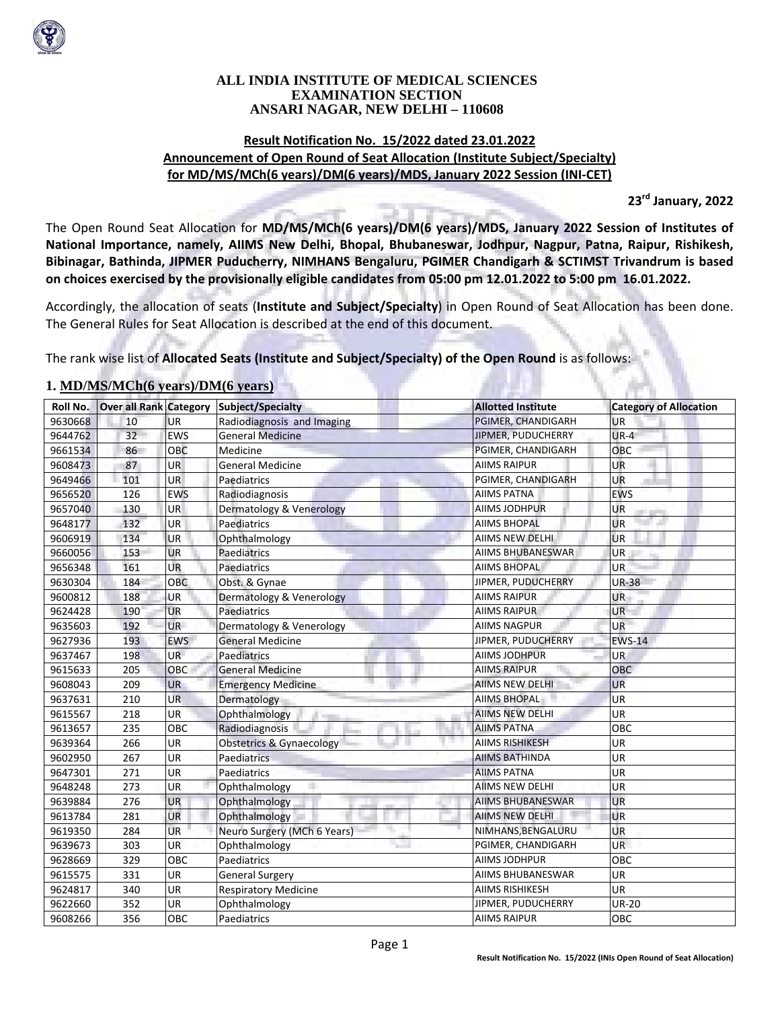

#### **ALL INDIA INSTITUTE OF MEDICAL SCIENCES EXAMINATION SECTION ANSARI NAGAR, NEW DELHI – 110608**

## **Result Notification No. 15/2022 dated 23.01.2022 Announcement of Open Round of Seat Allocation (Institute Subject/Specialty) for MD/MS/MCh(6 years)/DM(6 years)/MDS, January 2022 Session (INI‐CET)**

**rd January, 2022**

The Open Round Seat Allocation for **MD/MS/MCh(6 years)/DM(6 years)/MDS, January 2022 Session of Institutes of National Importance, namely, AIIMS New Delhi, Bhopal, Bhubaneswar, Jodhpur, Nagpur, Patna, Raipur, Rishikesh, Bibinagar, Bathinda, JIPMER Puducherry, NIMHANS Bengaluru, PGIMER Chandigarh & SCTIMST Trivandrum is based** on choices exercised by the provisionally eligible candidates from 05:00 pm 12.01.2022 to 5:00 pm 16.01.2022.

Accordingly, the allocation of seats (**Institute and Subject/Specialty**) in Open Round of Seat Allocation has been done. The General Rules for Seat Allocation is described at the end of this document.

The rank wise list of **Allocated Seats (Institute and Subject/Specialty) of the Open Round** is as follows:

### **1. MD/MS/MCh(6 years)/DM(6 years)**

| Roll No. | <b>Over all Rank Category</b> |            | Subject/Specialty                   | <b>Allotted Institute</b> | <b>Category of Allocation</b> |
|----------|-------------------------------|------------|-------------------------------------|---------------------------|-------------------------------|
| 9630668  | 10                            | <b>UR</b>  | Radiodiagnosis and Imaging          | PGIMER, CHANDIGARH        | <b>UR</b>                     |
| 9644762  | 32                            | <b>EWS</b> | <b>General Medicine</b>             | JIPMER, PUDUCHERRY        | $UR-4$                        |
| 9661534  | 86                            | OBC        | Medicine                            | PGIMER, CHANDIGARH        | OBC                           |
| 9608473  | 87                            | <b>UR</b>  | <b>General Medicine</b>             | <b>AIIMS RAIPUR</b>       | UR                            |
| 9649466  | 101                           | <b>UR</b>  | Paediatrics                         | PGIMER, CHANDIGARH        | UR                            |
| 9656520  | 126                           | <b>EWS</b> | Radiodiagnosis                      | AIIMS PATNA               | EWS                           |
| 9657040  | 130                           | <b>UR</b>  | Dermatology & Venerology            | <b>AIIMS JODHPUR</b>      | <b>UR</b>                     |
| 9648177  | 132                           | <b>UR</b>  | Paediatrics                         | <b>AIIMS BHOPAL</b>       | <b>UR</b><br><b>START AND</b> |
| 9606919  | 134                           | <b>UR</b>  | Ophthalmology                       | <b>AIIMS NEW DELHI</b>    | <b>UR</b>                     |
| 9660056  | 153                           | <b>UR</b>  | <b>Paediatrics</b>                  | <b>AIIMS BHUBANESWAR</b>  | <b>UR</b><br><b>A</b>         |
| 9656348  | 161                           | UR         | Paediatrics                         | AIIMS BHOPAL              | <b>UR</b>                     |
| 9630304  | 184                           | OBC        | Obst. & Gynae                       | JIPMER, PUDUCHERRY        | <b>UR-38</b>                  |
| 9600812  | 188                           | UR.        | Dermatology & Venerology            | <b>AIIMS RAIPUR</b>       | <b>UR</b>                     |
| 9624428  | 190                           | <b>UR</b>  | Paediatrics                         | <b>AIIMS RAIPUR</b>       | UR                            |
| 9635603  | 192                           | <b>UR</b>  | Dermatology & Venerology            | <b>AIIMS NAGPUR</b>       | UR                            |
| 9627936  | 193                           | <b>EWS</b> | <b>General Medicine</b>             | JIPMER, PUDUCHERRY        | <b>EWS-14</b>                 |
| 9637467  | 198                           | UR.        | Paediatrics                         | <b>AIIMS JODHPUR</b>      | <b>UR</b>                     |
| 9615633  | 205                           | OBC        | <b>General Medicine</b>             | <b>AIIMS RAIPUR</b>       | OBC                           |
| 9608043  | 209                           | <b>UR</b>  | <b>Emergency Medicine</b>           | <b>AIIMS NEW DELHI</b>    | <b>UR</b>                     |
| 9637631  | 210                           | <b>UR</b>  | Dermatology                         | <b>AIIMS BHOPAL</b>       | <b>UR</b>                     |
| 9615567  | 218                           | <b>UR</b>  | Ophthalmology                       | <b>AIIMS NEW DELHI</b>    | <b>UR</b>                     |
| 9613657  | 235                           | OBC        | Radiodiagnosis                      | <b>AIIMS PATNA</b>        | OBC                           |
| 9639364  | 266                           | UR         | <b>Obstetrics &amp; Gynaecology</b> | <b>AIIMS RISHIKESH</b>    | <b>UR</b>                     |
| 9602950  | 267                           | <b>UR</b>  | <b>Paediatrics</b>                  | <b>AIIMS BATHINDA</b>     | UR                            |
| 9647301  | 271                           | UR         | Paediatrics                         | <b>AIIMS PATNA</b>        | UR                            |
| 9648248  | 273                           | UR         | Ophthalmology                       | <b>AIIMS NEW DELHI</b>    | UR                            |
| 9639884  | 276                           | <b>UR</b>  | Ophthalmology                       | <b>AIIMS BHUBANESWAR</b>  | <b>UR</b>                     |
| 9613784  | 281                           | <b>UR</b>  | Ophthalmology                       | <b>AIIMS NEW DELHI</b>    | <b>UR</b>                     |
| 9619350  | 284                           | <b>UR</b>  | Neuro Surgery (MCh 6 Years)         | NIMHANS, BENGALURU        | <b>UR</b>                     |
| 9639673  | 303                           | <b>UR</b>  | Ophthalmology                       | PGIMER, CHANDIGARH        | <b>UR</b>                     |
| 9628669  | 329                           | OBC        | Paediatrics                         | <b>AIIMS JODHPUR</b>      | OBC                           |
| 9615575  | 331                           | <b>UR</b>  | <b>General Surgery</b>              | AIIMS BHUBANESWAR         | <b>UR</b>                     |
| 9624817  | 340                           | <b>UR</b>  | <b>Respiratory Medicine</b>         | <b>AIIMS RISHIKESH</b>    | <b>UR</b>                     |
| 9622660  | 352                           | UR         | Ophthalmology                       | JIPMER, PUDUCHERRY        | <b>UR-20</b>                  |
| 9608266  | 356                           | OBC        | Paediatrics                         | <b>AIIMS RAIPUR</b>       | OBC                           |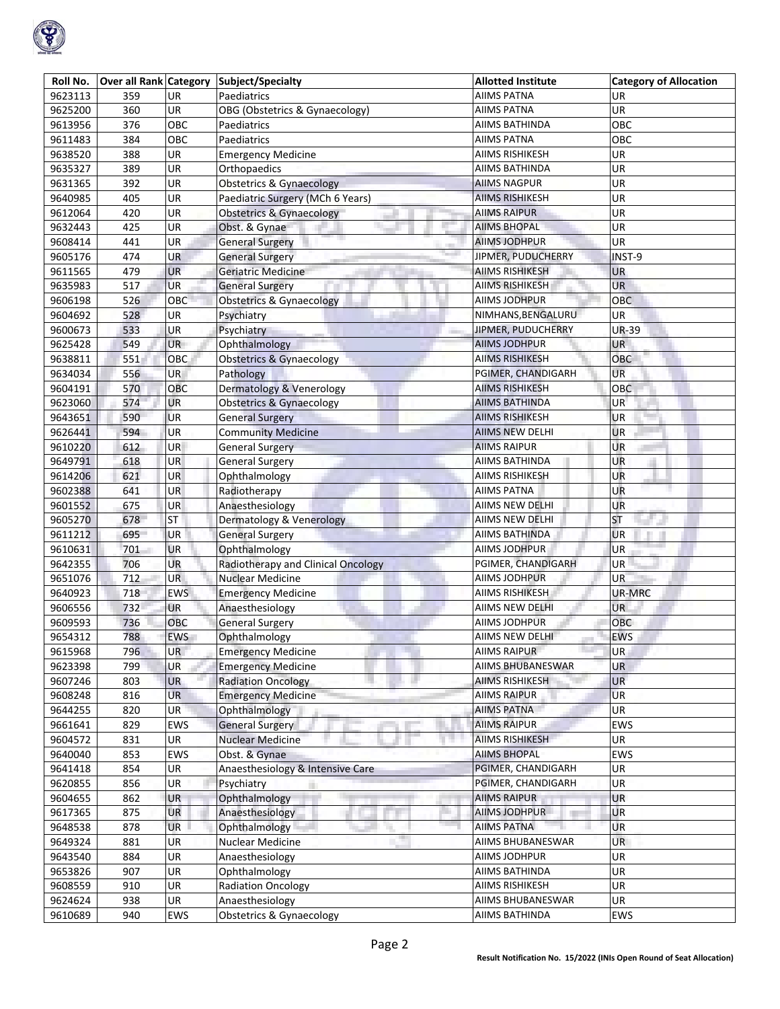

| Roll No. |     |            | Over all Rank Category Subject/Specialty | <b>Allotted Institute</b>     | <b>Category of Allocation</b> |
|----------|-----|------------|------------------------------------------|-------------------------------|-------------------------------|
| 9623113  | 359 | UR         | Paediatrics                              | <b>AIIMS PATNA</b>            | UR                            |
| 9625200  | 360 | UR         | OBG (Obstetrics & Gynaecology)           | <b>AIIMS PATNA</b>            | <b>UR</b>                     |
| 9613956  | 376 | OBC        | Paediatrics                              | AIIMS BATHINDA                | OBC                           |
| 9611483  | 384 | OBC        | Paediatrics                              | <b>AIIMS PATNA</b>            | OBC                           |
| 9638520  | 388 | UR         | <b>Emergency Medicine</b>                | <b>AIIMS RISHIKESH</b>        | UR                            |
| 9635327  | 389 | UR         | Orthopaedics                             | AIIMS BATHINDA                | UR                            |
| 9631365  | 392 | UR         | <b>Obstetrics &amp; Gynaecology</b>      | <b>AIIMS NAGPUR</b>           | UR                            |
| 9640985  | 405 | UR         | Paediatric Surgery (MCh 6 Years)         | <b>AIIMS RISHIKESH</b>        | UR                            |
| 9612064  | 420 | UR         | Obstetrics & Gynaecology                 | <b>AIIMS RAIPUR</b>           | UR                            |
| 9632443  | 425 | UR         | Obst. & Gynae                            | <b>AIIMS BHOPAL</b>           | UR                            |
| 9608414  | 441 | UR         | <b>General Surgery</b>                   | <b>AIIMS JODHPUR</b>          | <b>UR</b>                     |
| 9605176  | 474 | UR         | <b>General Surgery</b>                   | JIPMER, PUDUCHERRY            | INST-9                        |
| 9611565  | 479 | <b>UR</b>  | <b>Geriatric Medicine</b>                | <b>AIIMS RISHIKESH</b>        | <b>UR</b>                     |
|          | 517 | <b>UR</b>  |                                          | <b>AIIMS RISHIKESH</b>        | <b>UR</b>                     |
| 9635983  | 526 | OBC        | <b>General Surgery</b>                   | <b>AIIMS JODHPUR</b>          | OBC                           |
| 9606198  |     |            | <b>Obstetrics &amp; Gynaecology</b>      |                               | <b>UR</b>                     |
| 9604692  | 528 | UR         | Psychiatry                               | NIMHANS, BENGALURU            |                               |
| 9600673  | 533 | UR         | Psychiatry                               | JIPMER, PUDUCHERRY            | <b>UR-39</b>                  |
| 9625428  | 549 | UR         | Ophthalmology                            | <b>AIIMS JODHPUR</b>          | <b>UR</b>                     |
| 9638811  | 551 | OBC        | <b>Obstetrics &amp; Gynaecology</b>      | <b>AIIMS RISHIKESH</b>        | OBC                           |
| 9634034  | 556 | UR         | Pathology                                | PGIMER, CHANDIGARH            | <b>UR</b>                     |
| 9604191  | 570 | OBC        | Dermatology & Venerology                 | <b>AIIMS RISHIKESH</b>        | OBC                           |
| 9623060  | 574 | <b>UR</b>  | <b>Obstetrics &amp; Gynaecology</b>      | <b>AIIMS BATHINDA</b>         | UR                            |
| 9643651  | 590 | <b>UR</b>  | <b>General Surgery</b>                   | <b>AIIMS RISHIKESH</b>        | <b>UR</b>                     |
| 9626441  | 594 | UR         | <b>Community Medicine</b>                | <b>AIIMS NEW DELHI</b>        | UR                            |
| 9610220  | 612 | <b>UR</b>  | <b>General Surgery</b>                   | <b>AIIMS RAIPUR</b>           | UR                            |
| 9649791  | 618 | UR         | <b>General Surgery</b>                   | <b>AIIMS BATHINDA</b>         | UR                            |
| 9614206  | 621 | UR         | Ophthalmology                            | <b>AIIMS RISHIKESH</b>        | UR                            |
| 9602388  | 641 | <b>UR</b>  | Radiotherapy                             | <b>AIIMS PATNA</b>            | UR                            |
| 9601552  | 675 | UR         | Anaesthesiology                          | <b>AIIMS NEW DELHI</b>        | UR                            |
| 9605270  | 678 | <b>ST</b>  | Dermatology & Venerology                 | AIIMS NEW DELHI               | <b>ST</b>                     |
| 9611212  | 695 | <b>UR</b>  | <b>General Surgery</b>                   | AIIMS BATHINDA                | <b>UR</b>                     |
| 9610631  | 701 | <b>UR</b>  | Ophthalmology                            | <b>AIIMS JODHPUR</b>          | <b>UR</b>                     |
| 9642355  | 706 | UR         | Radiotherapy and Clinical Oncology       | PGIMER, CHANDIGARH            | UR                            |
| 9651076  | 712 | UR         | <b>Nuclear Medicine</b>                  | <b>AIIMS JODHPUR</b>          | UR                            |
| 9640923  | 718 | <b>EWS</b> | <b>Emergency Medicine</b>                | <b>AIIMS RISHIKESH</b>        | <b>UR-MRC</b>                 |
| 9606556  | 732 | <b>UR</b>  | Anaesthesiology                          | AIIMS NEW DELHI               | UR                            |
| 9609593  | 736 | OBC        | <b>General Surgery</b>                   | <b>AIIMS JODHPUR</b>          | OBC                           |
| 9654312  | 788 | <b>EWS</b> | Ophthalmology                            | <b>AIIMS NEW DELHI</b><br>- 1 | <b>EWS</b>                    |
| 9615968  | 796 | UR         | <b>Emergency Medicine</b>                | <b>AIIMS RAIPUR</b>           | <b>UR</b>                     |
| 9623398  | 799 | UR         | <b>Emergency Medicine</b>                | AIIMS BHUBANESWAR             | <b>UR</b>                     |
| 9607246  | 803 | <b>UR</b>  | <b>Radiation Oncology</b>                | <b>AIIMS RISHIKESH</b>        | <b>UR</b>                     |
| 9608248  | 816 | UR         | <b>Emergency Medicine</b>                | AIIMS RAIPUR                  | <b>UR</b>                     |
| 9644255  | 820 | UR         | Ophthalmology                            | <b>AIIMS PATNA</b>            | UR                            |
| 9661641  | 829 | EWS        | <b>General Surgery</b>                   | <b>AIIMS RAIPUR</b>           | EWS                           |
| 9604572  | 831 | UR         | <b>Nuclear Medicine</b>                  | <b>AIIMS RISHIKESH</b>        | UR                            |
| 9640040  | 853 | EWS        | Obst. & Gynae                            | <b>AIIMS BHOPAL</b>           | EWS                           |
| 9641418  | 854 | UR         | Anaesthesiology & Intensive Care         | PGIMER, CHANDIGARH            | UR                            |
| 9620855  | 856 | UR         | Psychiatry                               | PGIMER, CHANDIGARH            | UR                            |
| 9604655  | 862 | <b>UR</b>  | Ophthalmology                            | <b>AIIMS RAIPUR</b>           | <b>UR</b>                     |
| 9617365  | 875 | UR         | Anaesthesiology                          | AIIMS JODHPUR                 | <b>UR</b>                     |
|          | 878 | UR         | Ophthalmology                            | <b>AIIMS PATNA</b>            | UR                            |
| 9648538  |     | UR         |                                          | AIIMS BHUBANESWAR             | <b>UR</b>                     |
| 9649324  | 881 |            | Nuclear Medicine                         | AIIMS JODHPUR                 |                               |
| 9643540  | 884 | UR         | Anaesthesiology                          |                               | UR                            |
| 9653826  | 907 | UR         | Ophthalmology                            | AIIMS BATHINDA                | UR                            |
| 9608559  | 910 | UR         | <b>Radiation Oncology</b>                | AIIMS RISHIKESH               | UR                            |
| 9624624  | 938 | UR         | Anaesthesiology                          | AIIMS BHUBANESWAR             | UR                            |
| 9610689  | 940 | <b>EWS</b> | <b>Obstetrics &amp; Gynaecology</b>      | AIIMS BATHINDA                | EWS                           |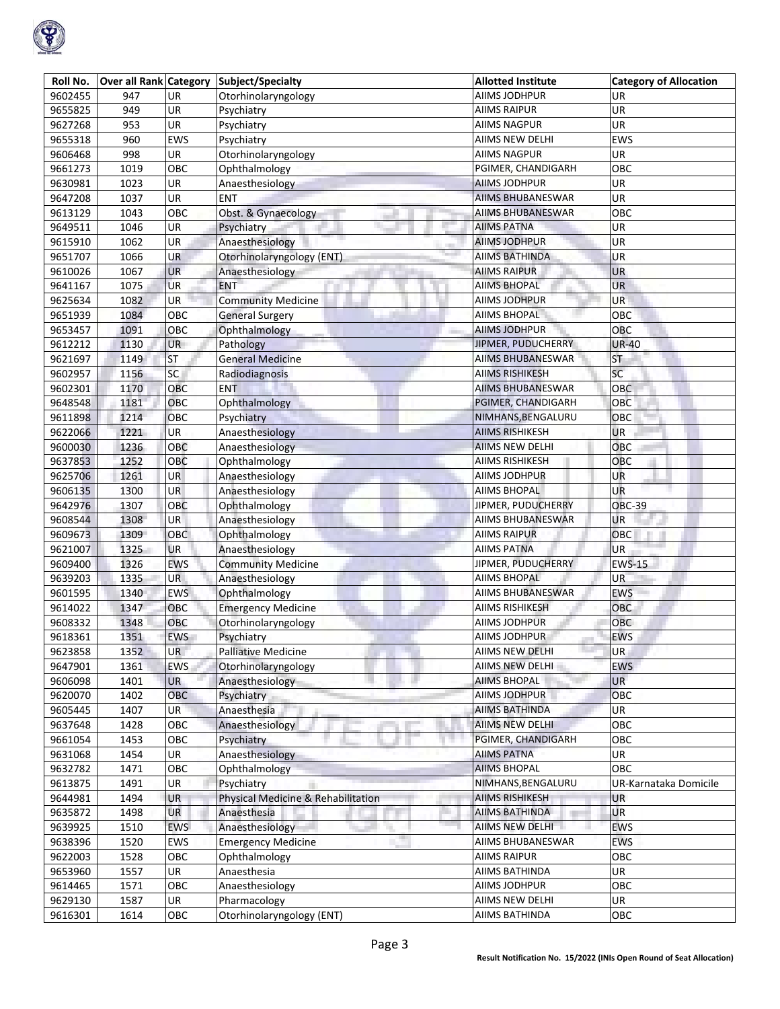

| 9602455<br><b>AIIMS JODHPUR</b><br>947<br><b>UR</b><br>Otorhinolaryngology<br>UR<br>9655825<br>949<br><b>UR</b><br><b>AIIMS RAIPUR</b><br>UR<br>Psychiatry<br>UR<br>UR<br><b>AIIMS NAGPUR</b><br>9627268<br>953<br>Psychiatry<br>EWS<br>EWS<br>9655318<br>960<br>AIIMS NEW DELHI<br>Psychiatry<br>998<br>UR<br>UR<br>9606468<br>Otorhinolaryngology<br><b>AIIMS NAGPUR</b><br>OBC<br>PGIMER, CHANDIGARH<br>9661273<br>1019<br>Ophthalmology<br>OBC<br>UR<br><b>AIIMS JODHPUR</b><br>UR<br>9630981<br>1023<br>Anaesthesiology<br><b>AIIMS BHUBANESWAR</b><br>9647208<br>1037<br><b>UR</b><br><b>ENT</b><br>UR<br>OBC<br>Obst. & Gynaecology<br><b>AIIMS BHUBANESWAR</b><br>9613129<br>1043<br>овс<br>UR<br><b>AIIMS PATNA</b><br>UR<br>9649511<br>1046<br>Psychiatry<br>UR<br>Anaesthesiology<br><b>AIIMS JODHPUR</b><br>UR<br>1062<br>9615910<br>UR<br>Otorhinolaryngology (ENT)<br>UR<br>9651707<br>1066<br><b>AIIMS BATHINDA</b><br>1067<br><b>UR</b><br><b>AIIMS RAIPUR</b><br><b>UR</b><br>9610026<br>Anaesthesiology<br>ENT<br><b>UR</b><br><b>AIIMS BHOPAL</b><br>9641167<br>1075<br><b>UR</b><br><b>UR</b><br>UR<br>9625634<br>1082<br><b>Community Medicine</b><br><b>AIIMS JODHPUR</b><br><b>AIIMS BHOPAL</b><br>9651939<br>1084<br>OBC<br><b>General Surgery</b><br>OBC<br>Ophthalmology<br><b>AIIMS JODHPUR</b><br>OBC<br>9653457<br>1091<br>OBC<br>9612212<br><b>UR</b><br>JIPMER, PUDUCHERRY<br><b>UR-40</b><br>1130<br>Pathology<br><b>AIIMS BHUBANESWAR</b><br><b>ST</b><br>9621697<br>1149<br>ST<br><b>General Medicine</b><br>SC<br>SC<br>9602957<br>1156<br>Radiodiagnosis<br><b>AIIMS RISHIKESH</b><br>OBC<br><b>ENT</b><br><b>AIIMS BHUBANESWAR</b><br>OBC<br>9602301<br>1170<br>OBC<br>Ophthalmology<br>9648548<br>1181<br>PGIMER, CHANDIGARH<br>OBC<br>OBC<br>Psychiatry<br>NIMHANS, BENGALURU<br>OBC<br>9611898<br>1214<br>9622066<br><b>UR</b><br><b>AIIMS RISHIKESH</b><br>UR<br>1221<br>Anaesthesiology<br>OBC<br><b>AIIMS NEW DELHI</b><br>OBC<br>9600030<br>1236<br>Anaesthesiology<br>1252<br>9637853<br>OBC<br>AIIMS RISHIKESH<br>OBC<br>Ophthalmology<br>UR<br><b>AIIMS JODHPUR</b><br>UR<br>9625706<br>1261<br>Anaesthesiology<br>UR<br>UR<br><b>AIIMS BHOPAL</b><br>9606135<br>1300<br>Anaesthesiology<br>JIPMER, PUDUCHERRY<br>9642976<br>1307<br>OBC<br>Ophthalmology<br><b>OBC-39</b><br>AIIMS BHUBANESWAR<br>1308<br>UR<br>UR<br>9608544<br>Anaesthesiology<br>9609673<br>1309<br><b>OBC</b><br>Ophthalmology<br><b>AIIMS RAIPUR</b><br>OBC<br><b>AIIMS PATNA</b><br>9621007<br>1325<br><b>UR</b><br>Anaesthesiology<br><b>UR</b><br>1326<br>JIPMER, PUDUCHERRY<br><b>EWS</b><br>9609400<br><b>Community Medicine</b><br><b>EWS-15</b><br>9639203<br>UR<br><b>AIIMS BHOPAL</b><br><b>UR</b><br>1335<br>Anaesthesiology<br>AIIMS BHUBANESWAR<br><b>EWS</b><br>Ophthalmology<br>9601595<br>1340<br>EWS<br><b>AIIMS RISHIKESH</b><br>9614022<br>1347<br>OBC<br><b>Emergency Medicine</b><br>OBC<br>Otorhinolaryngology<br>9608332<br>OBC<br><b>AIIMS JODHPUR</b><br>1348<br>ОВС<br><b>EWS</b><br>1351<br><b>EWS</b><br>AIIMS JODHPUR<br>9618361<br>Psychiatry<br><b>UR</b><br>UR.<br>9623858<br>1352<br><b>Palliative Medicine</b><br>AIIMS NEW DELHI<br>9647901<br><b>EWS</b><br>Otorhinolaryngology<br>AIIMS NEW DELHI<br>EWS<br>1361<br><b>UR</b><br><b>AIIMS BHOPAL</b><br><b>UR</b><br>9606098<br>1401<br>Anaesthesiology<br>9620070<br>1402<br>OBC<br><b>AIIMS JODHPUR</b><br>OBC<br>Psychiatry<br>9605445<br>1407<br>UR<br>Anaesthesia<br><b>AIIMS BATHINDA</b><br>UR<br><b>AIIMS NEW DELHI</b><br>9637648<br>OBC<br>Anaesthesiology<br>1428<br>ОВС<br>OBC<br>PGIMER, CHANDIGARH<br>OBC<br>9661054<br>1453<br>Psychiatry<br>UR<br>Anaesthesiology<br><b>AIIMS PATNA</b><br>UR<br>9631068<br>1454<br>9632782<br>OBC<br><b>AIIMS BHOPAL</b><br>ОВС<br>1471<br>Ophthalmology<br>UR<br>NIMHANS, BENGALURU<br>9613875<br>1491<br>Psychiatry<br>UR-Karnataka Domicile<br>9644981<br>1494<br><b>UR</b><br>Physical Medicine & Rehabilitation<br><b>AIIMS RISHIKESH</b><br><b>UR</b><br><b>UR</b><br>UR<br><b>AIIMS BATHINDA</b><br>9635872<br>1498<br>Anaesthesia<br>AIIMS NEW DELHI<br>9639925<br><b>EWS</b><br>Anaesthesiology<br>EWS<br>1510<br>AIIMS BHUBANESWAR<br>9638396<br>EWS<br><b>Emergency Medicine</b><br><b>EWS</b><br>1520<br>OBC<br>9622003<br>1528<br>OBC<br>Ophthalmology<br><b>AIIMS RAIPUR</b> | Roll No. | <b>Over all Rank Category</b> | Subject/Specialty | <b>Allotted Institute</b> | <b>Category of Allocation</b> |
|------------------------------------------------------------------------------------------------------------------------------------------------------------------------------------------------------------------------------------------------------------------------------------------------------------------------------------------------------------------------------------------------------------------------------------------------------------------------------------------------------------------------------------------------------------------------------------------------------------------------------------------------------------------------------------------------------------------------------------------------------------------------------------------------------------------------------------------------------------------------------------------------------------------------------------------------------------------------------------------------------------------------------------------------------------------------------------------------------------------------------------------------------------------------------------------------------------------------------------------------------------------------------------------------------------------------------------------------------------------------------------------------------------------------------------------------------------------------------------------------------------------------------------------------------------------------------------------------------------------------------------------------------------------------------------------------------------------------------------------------------------------------------------------------------------------------------------------------------------------------------------------------------------------------------------------------------------------------------------------------------------------------------------------------------------------------------------------------------------------------------------------------------------------------------------------------------------------------------------------------------------------------------------------------------------------------------------------------------------------------------------------------------------------------------------------------------------------------------------------------------------------------------------------------------------------------------------------------------------------------------------------------------------------------------------------------------------------------------------------------------------------------------------------------------------------------------------------------------------------------------------------------------------------------------------------------------------------------------------------------------------------------------------------------------------------------------------------------------------------------------------------------------------------------------------------------------------------------------------------------------------------------------------------------------------------------------------------------------------------------------------------------------------------------------------------------------------------------------------------------------------------------------------------------------------------------------------------------------------------------------------------------------------------------------------------------------------------------------------------------------------------------------------------------------------------------------------------------------------------------------------------------------------------------------------------------------------------------------------------------------------------------------------------------------------------------------------------------------------------------------------------------------------------------------------------------------------------------------------------------------------------------------------------------------------------------------------------------------|----------|-------------------------------|-------------------|---------------------------|-------------------------------|
|                                                                                                                                                                                                                                                                                                                                                                                                                                                                                                                                                                                                                                                                                                                                                                                                                                                                                                                                                                                                                                                                                                                                                                                                                                                                                                                                                                                                                                                                                                                                                                                                                                                                                                                                                                                                                                                                                                                                                                                                                                                                                                                                                                                                                                                                                                                                                                                                                                                                                                                                                                                                                                                                                                                                                                                                                                                                                                                                                                                                                                                                                                                                                                                                                                                                                                                                                                                                                                                                                                                                                                                                                                                                                                                                                                                                                                                                                                                                                                                                                                                                                                                                                                                                                                                                                                                                                      |          |                               |                   |                           |                               |
|                                                                                                                                                                                                                                                                                                                                                                                                                                                                                                                                                                                                                                                                                                                                                                                                                                                                                                                                                                                                                                                                                                                                                                                                                                                                                                                                                                                                                                                                                                                                                                                                                                                                                                                                                                                                                                                                                                                                                                                                                                                                                                                                                                                                                                                                                                                                                                                                                                                                                                                                                                                                                                                                                                                                                                                                                                                                                                                                                                                                                                                                                                                                                                                                                                                                                                                                                                                                                                                                                                                                                                                                                                                                                                                                                                                                                                                                                                                                                                                                                                                                                                                                                                                                                                                                                                                                                      |          |                               |                   |                           |                               |
|                                                                                                                                                                                                                                                                                                                                                                                                                                                                                                                                                                                                                                                                                                                                                                                                                                                                                                                                                                                                                                                                                                                                                                                                                                                                                                                                                                                                                                                                                                                                                                                                                                                                                                                                                                                                                                                                                                                                                                                                                                                                                                                                                                                                                                                                                                                                                                                                                                                                                                                                                                                                                                                                                                                                                                                                                                                                                                                                                                                                                                                                                                                                                                                                                                                                                                                                                                                                                                                                                                                                                                                                                                                                                                                                                                                                                                                                                                                                                                                                                                                                                                                                                                                                                                                                                                                                                      |          |                               |                   |                           |                               |
|                                                                                                                                                                                                                                                                                                                                                                                                                                                                                                                                                                                                                                                                                                                                                                                                                                                                                                                                                                                                                                                                                                                                                                                                                                                                                                                                                                                                                                                                                                                                                                                                                                                                                                                                                                                                                                                                                                                                                                                                                                                                                                                                                                                                                                                                                                                                                                                                                                                                                                                                                                                                                                                                                                                                                                                                                                                                                                                                                                                                                                                                                                                                                                                                                                                                                                                                                                                                                                                                                                                                                                                                                                                                                                                                                                                                                                                                                                                                                                                                                                                                                                                                                                                                                                                                                                                                                      |          |                               |                   |                           |                               |
|                                                                                                                                                                                                                                                                                                                                                                                                                                                                                                                                                                                                                                                                                                                                                                                                                                                                                                                                                                                                                                                                                                                                                                                                                                                                                                                                                                                                                                                                                                                                                                                                                                                                                                                                                                                                                                                                                                                                                                                                                                                                                                                                                                                                                                                                                                                                                                                                                                                                                                                                                                                                                                                                                                                                                                                                                                                                                                                                                                                                                                                                                                                                                                                                                                                                                                                                                                                                                                                                                                                                                                                                                                                                                                                                                                                                                                                                                                                                                                                                                                                                                                                                                                                                                                                                                                                                                      |          |                               |                   |                           |                               |
|                                                                                                                                                                                                                                                                                                                                                                                                                                                                                                                                                                                                                                                                                                                                                                                                                                                                                                                                                                                                                                                                                                                                                                                                                                                                                                                                                                                                                                                                                                                                                                                                                                                                                                                                                                                                                                                                                                                                                                                                                                                                                                                                                                                                                                                                                                                                                                                                                                                                                                                                                                                                                                                                                                                                                                                                                                                                                                                                                                                                                                                                                                                                                                                                                                                                                                                                                                                                                                                                                                                                                                                                                                                                                                                                                                                                                                                                                                                                                                                                                                                                                                                                                                                                                                                                                                                                                      |          |                               |                   |                           |                               |
|                                                                                                                                                                                                                                                                                                                                                                                                                                                                                                                                                                                                                                                                                                                                                                                                                                                                                                                                                                                                                                                                                                                                                                                                                                                                                                                                                                                                                                                                                                                                                                                                                                                                                                                                                                                                                                                                                                                                                                                                                                                                                                                                                                                                                                                                                                                                                                                                                                                                                                                                                                                                                                                                                                                                                                                                                                                                                                                                                                                                                                                                                                                                                                                                                                                                                                                                                                                                                                                                                                                                                                                                                                                                                                                                                                                                                                                                                                                                                                                                                                                                                                                                                                                                                                                                                                                                                      |          |                               |                   |                           |                               |
|                                                                                                                                                                                                                                                                                                                                                                                                                                                                                                                                                                                                                                                                                                                                                                                                                                                                                                                                                                                                                                                                                                                                                                                                                                                                                                                                                                                                                                                                                                                                                                                                                                                                                                                                                                                                                                                                                                                                                                                                                                                                                                                                                                                                                                                                                                                                                                                                                                                                                                                                                                                                                                                                                                                                                                                                                                                                                                                                                                                                                                                                                                                                                                                                                                                                                                                                                                                                                                                                                                                                                                                                                                                                                                                                                                                                                                                                                                                                                                                                                                                                                                                                                                                                                                                                                                                                                      |          |                               |                   |                           |                               |
|                                                                                                                                                                                                                                                                                                                                                                                                                                                                                                                                                                                                                                                                                                                                                                                                                                                                                                                                                                                                                                                                                                                                                                                                                                                                                                                                                                                                                                                                                                                                                                                                                                                                                                                                                                                                                                                                                                                                                                                                                                                                                                                                                                                                                                                                                                                                                                                                                                                                                                                                                                                                                                                                                                                                                                                                                                                                                                                                                                                                                                                                                                                                                                                                                                                                                                                                                                                                                                                                                                                                                                                                                                                                                                                                                                                                                                                                                                                                                                                                                                                                                                                                                                                                                                                                                                                                                      |          |                               |                   |                           |                               |
|                                                                                                                                                                                                                                                                                                                                                                                                                                                                                                                                                                                                                                                                                                                                                                                                                                                                                                                                                                                                                                                                                                                                                                                                                                                                                                                                                                                                                                                                                                                                                                                                                                                                                                                                                                                                                                                                                                                                                                                                                                                                                                                                                                                                                                                                                                                                                                                                                                                                                                                                                                                                                                                                                                                                                                                                                                                                                                                                                                                                                                                                                                                                                                                                                                                                                                                                                                                                                                                                                                                                                                                                                                                                                                                                                                                                                                                                                                                                                                                                                                                                                                                                                                                                                                                                                                                                                      |          |                               |                   |                           |                               |
|                                                                                                                                                                                                                                                                                                                                                                                                                                                                                                                                                                                                                                                                                                                                                                                                                                                                                                                                                                                                                                                                                                                                                                                                                                                                                                                                                                                                                                                                                                                                                                                                                                                                                                                                                                                                                                                                                                                                                                                                                                                                                                                                                                                                                                                                                                                                                                                                                                                                                                                                                                                                                                                                                                                                                                                                                                                                                                                                                                                                                                                                                                                                                                                                                                                                                                                                                                                                                                                                                                                                                                                                                                                                                                                                                                                                                                                                                                                                                                                                                                                                                                                                                                                                                                                                                                                                                      |          |                               |                   |                           |                               |
|                                                                                                                                                                                                                                                                                                                                                                                                                                                                                                                                                                                                                                                                                                                                                                                                                                                                                                                                                                                                                                                                                                                                                                                                                                                                                                                                                                                                                                                                                                                                                                                                                                                                                                                                                                                                                                                                                                                                                                                                                                                                                                                                                                                                                                                                                                                                                                                                                                                                                                                                                                                                                                                                                                                                                                                                                                                                                                                                                                                                                                                                                                                                                                                                                                                                                                                                                                                                                                                                                                                                                                                                                                                                                                                                                                                                                                                                                                                                                                                                                                                                                                                                                                                                                                                                                                                                                      |          |                               |                   |                           |                               |
|                                                                                                                                                                                                                                                                                                                                                                                                                                                                                                                                                                                                                                                                                                                                                                                                                                                                                                                                                                                                                                                                                                                                                                                                                                                                                                                                                                                                                                                                                                                                                                                                                                                                                                                                                                                                                                                                                                                                                                                                                                                                                                                                                                                                                                                                                                                                                                                                                                                                                                                                                                                                                                                                                                                                                                                                                                                                                                                                                                                                                                                                                                                                                                                                                                                                                                                                                                                                                                                                                                                                                                                                                                                                                                                                                                                                                                                                                                                                                                                                                                                                                                                                                                                                                                                                                                                                                      |          |                               |                   |                           |                               |
|                                                                                                                                                                                                                                                                                                                                                                                                                                                                                                                                                                                                                                                                                                                                                                                                                                                                                                                                                                                                                                                                                                                                                                                                                                                                                                                                                                                                                                                                                                                                                                                                                                                                                                                                                                                                                                                                                                                                                                                                                                                                                                                                                                                                                                                                                                                                                                                                                                                                                                                                                                                                                                                                                                                                                                                                                                                                                                                                                                                                                                                                                                                                                                                                                                                                                                                                                                                                                                                                                                                                                                                                                                                                                                                                                                                                                                                                                                                                                                                                                                                                                                                                                                                                                                                                                                                                                      |          |                               |                   |                           |                               |
|                                                                                                                                                                                                                                                                                                                                                                                                                                                                                                                                                                                                                                                                                                                                                                                                                                                                                                                                                                                                                                                                                                                                                                                                                                                                                                                                                                                                                                                                                                                                                                                                                                                                                                                                                                                                                                                                                                                                                                                                                                                                                                                                                                                                                                                                                                                                                                                                                                                                                                                                                                                                                                                                                                                                                                                                                                                                                                                                                                                                                                                                                                                                                                                                                                                                                                                                                                                                                                                                                                                                                                                                                                                                                                                                                                                                                                                                                                                                                                                                                                                                                                                                                                                                                                                                                                                                                      |          |                               |                   |                           |                               |
|                                                                                                                                                                                                                                                                                                                                                                                                                                                                                                                                                                                                                                                                                                                                                                                                                                                                                                                                                                                                                                                                                                                                                                                                                                                                                                                                                                                                                                                                                                                                                                                                                                                                                                                                                                                                                                                                                                                                                                                                                                                                                                                                                                                                                                                                                                                                                                                                                                                                                                                                                                                                                                                                                                                                                                                                                                                                                                                                                                                                                                                                                                                                                                                                                                                                                                                                                                                                                                                                                                                                                                                                                                                                                                                                                                                                                                                                                                                                                                                                                                                                                                                                                                                                                                                                                                                                                      |          |                               |                   |                           |                               |
|                                                                                                                                                                                                                                                                                                                                                                                                                                                                                                                                                                                                                                                                                                                                                                                                                                                                                                                                                                                                                                                                                                                                                                                                                                                                                                                                                                                                                                                                                                                                                                                                                                                                                                                                                                                                                                                                                                                                                                                                                                                                                                                                                                                                                                                                                                                                                                                                                                                                                                                                                                                                                                                                                                                                                                                                                                                                                                                                                                                                                                                                                                                                                                                                                                                                                                                                                                                                                                                                                                                                                                                                                                                                                                                                                                                                                                                                                                                                                                                                                                                                                                                                                                                                                                                                                                                                                      |          |                               |                   |                           |                               |
|                                                                                                                                                                                                                                                                                                                                                                                                                                                                                                                                                                                                                                                                                                                                                                                                                                                                                                                                                                                                                                                                                                                                                                                                                                                                                                                                                                                                                                                                                                                                                                                                                                                                                                                                                                                                                                                                                                                                                                                                                                                                                                                                                                                                                                                                                                                                                                                                                                                                                                                                                                                                                                                                                                                                                                                                                                                                                                                                                                                                                                                                                                                                                                                                                                                                                                                                                                                                                                                                                                                                                                                                                                                                                                                                                                                                                                                                                                                                                                                                                                                                                                                                                                                                                                                                                                                                                      |          |                               |                   |                           |                               |
|                                                                                                                                                                                                                                                                                                                                                                                                                                                                                                                                                                                                                                                                                                                                                                                                                                                                                                                                                                                                                                                                                                                                                                                                                                                                                                                                                                                                                                                                                                                                                                                                                                                                                                                                                                                                                                                                                                                                                                                                                                                                                                                                                                                                                                                                                                                                                                                                                                                                                                                                                                                                                                                                                                                                                                                                                                                                                                                                                                                                                                                                                                                                                                                                                                                                                                                                                                                                                                                                                                                                                                                                                                                                                                                                                                                                                                                                                                                                                                                                                                                                                                                                                                                                                                                                                                                                                      |          |                               |                   |                           |                               |
|                                                                                                                                                                                                                                                                                                                                                                                                                                                                                                                                                                                                                                                                                                                                                                                                                                                                                                                                                                                                                                                                                                                                                                                                                                                                                                                                                                                                                                                                                                                                                                                                                                                                                                                                                                                                                                                                                                                                                                                                                                                                                                                                                                                                                                                                                                                                                                                                                                                                                                                                                                                                                                                                                                                                                                                                                                                                                                                                                                                                                                                                                                                                                                                                                                                                                                                                                                                                                                                                                                                                                                                                                                                                                                                                                                                                                                                                                                                                                                                                                                                                                                                                                                                                                                                                                                                                                      |          |                               |                   |                           |                               |
|                                                                                                                                                                                                                                                                                                                                                                                                                                                                                                                                                                                                                                                                                                                                                                                                                                                                                                                                                                                                                                                                                                                                                                                                                                                                                                                                                                                                                                                                                                                                                                                                                                                                                                                                                                                                                                                                                                                                                                                                                                                                                                                                                                                                                                                                                                                                                                                                                                                                                                                                                                                                                                                                                                                                                                                                                                                                                                                                                                                                                                                                                                                                                                                                                                                                                                                                                                                                                                                                                                                                                                                                                                                                                                                                                                                                                                                                                                                                                                                                                                                                                                                                                                                                                                                                                                                                                      |          |                               |                   |                           |                               |
|                                                                                                                                                                                                                                                                                                                                                                                                                                                                                                                                                                                                                                                                                                                                                                                                                                                                                                                                                                                                                                                                                                                                                                                                                                                                                                                                                                                                                                                                                                                                                                                                                                                                                                                                                                                                                                                                                                                                                                                                                                                                                                                                                                                                                                                                                                                                                                                                                                                                                                                                                                                                                                                                                                                                                                                                                                                                                                                                                                                                                                                                                                                                                                                                                                                                                                                                                                                                                                                                                                                                                                                                                                                                                                                                                                                                                                                                                                                                                                                                                                                                                                                                                                                                                                                                                                                                                      |          |                               |                   |                           |                               |
|                                                                                                                                                                                                                                                                                                                                                                                                                                                                                                                                                                                                                                                                                                                                                                                                                                                                                                                                                                                                                                                                                                                                                                                                                                                                                                                                                                                                                                                                                                                                                                                                                                                                                                                                                                                                                                                                                                                                                                                                                                                                                                                                                                                                                                                                                                                                                                                                                                                                                                                                                                                                                                                                                                                                                                                                                                                                                                                                                                                                                                                                                                                                                                                                                                                                                                                                                                                                                                                                                                                                                                                                                                                                                                                                                                                                                                                                                                                                                                                                                                                                                                                                                                                                                                                                                                                                                      |          |                               |                   |                           |                               |
|                                                                                                                                                                                                                                                                                                                                                                                                                                                                                                                                                                                                                                                                                                                                                                                                                                                                                                                                                                                                                                                                                                                                                                                                                                                                                                                                                                                                                                                                                                                                                                                                                                                                                                                                                                                                                                                                                                                                                                                                                                                                                                                                                                                                                                                                                                                                                                                                                                                                                                                                                                                                                                                                                                                                                                                                                                                                                                                                                                                                                                                                                                                                                                                                                                                                                                                                                                                                                                                                                                                                                                                                                                                                                                                                                                                                                                                                                                                                                                                                                                                                                                                                                                                                                                                                                                                                                      |          |                               |                   |                           |                               |
|                                                                                                                                                                                                                                                                                                                                                                                                                                                                                                                                                                                                                                                                                                                                                                                                                                                                                                                                                                                                                                                                                                                                                                                                                                                                                                                                                                                                                                                                                                                                                                                                                                                                                                                                                                                                                                                                                                                                                                                                                                                                                                                                                                                                                                                                                                                                                                                                                                                                                                                                                                                                                                                                                                                                                                                                                                                                                                                                                                                                                                                                                                                                                                                                                                                                                                                                                                                                                                                                                                                                                                                                                                                                                                                                                                                                                                                                                                                                                                                                                                                                                                                                                                                                                                                                                                                                                      |          |                               |                   |                           |                               |
|                                                                                                                                                                                                                                                                                                                                                                                                                                                                                                                                                                                                                                                                                                                                                                                                                                                                                                                                                                                                                                                                                                                                                                                                                                                                                                                                                                                                                                                                                                                                                                                                                                                                                                                                                                                                                                                                                                                                                                                                                                                                                                                                                                                                                                                                                                                                                                                                                                                                                                                                                                                                                                                                                                                                                                                                                                                                                                                                                                                                                                                                                                                                                                                                                                                                                                                                                                                                                                                                                                                                                                                                                                                                                                                                                                                                                                                                                                                                                                                                                                                                                                                                                                                                                                                                                                                                                      |          |                               |                   |                           |                               |
|                                                                                                                                                                                                                                                                                                                                                                                                                                                                                                                                                                                                                                                                                                                                                                                                                                                                                                                                                                                                                                                                                                                                                                                                                                                                                                                                                                                                                                                                                                                                                                                                                                                                                                                                                                                                                                                                                                                                                                                                                                                                                                                                                                                                                                                                                                                                                                                                                                                                                                                                                                                                                                                                                                                                                                                                                                                                                                                                                                                                                                                                                                                                                                                                                                                                                                                                                                                                                                                                                                                                                                                                                                                                                                                                                                                                                                                                                                                                                                                                                                                                                                                                                                                                                                                                                                                                                      |          |                               |                   |                           |                               |
|                                                                                                                                                                                                                                                                                                                                                                                                                                                                                                                                                                                                                                                                                                                                                                                                                                                                                                                                                                                                                                                                                                                                                                                                                                                                                                                                                                                                                                                                                                                                                                                                                                                                                                                                                                                                                                                                                                                                                                                                                                                                                                                                                                                                                                                                                                                                                                                                                                                                                                                                                                                                                                                                                                                                                                                                                                                                                                                                                                                                                                                                                                                                                                                                                                                                                                                                                                                                                                                                                                                                                                                                                                                                                                                                                                                                                                                                                                                                                                                                                                                                                                                                                                                                                                                                                                                                                      |          |                               |                   |                           |                               |
|                                                                                                                                                                                                                                                                                                                                                                                                                                                                                                                                                                                                                                                                                                                                                                                                                                                                                                                                                                                                                                                                                                                                                                                                                                                                                                                                                                                                                                                                                                                                                                                                                                                                                                                                                                                                                                                                                                                                                                                                                                                                                                                                                                                                                                                                                                                                                                                                                                                                                                                                                                                                                                                                                                                                                                                                                                                                                                                                                                                                                                                                                                                                                                                                                                                                                                                                                                                                                                                                                                                                                                                                                                                                                                                                                                                                                                                                                                                                                                                                                                                                                                                                                                                                                                                                                                                                                      |          |                               |                   |                           |                               |
|                                                                                                                                                                                                                                                                                                                                                                                                                                                                                                                                                                                                                                                                                                                                                                                                                                                                                                                                                                                                                                                                                                                                                                                                                                                                                                                                                                                                                                                                                                                                                                                                                                                                                                                                                                                                                                                                                                                                                                                                                                                                                                                                                                                                                                                                                                                                                                                                                                                                                                                                                                                                                                                                                                                                                                                                                                                                                                                                                                                                                                                                                                                                                                                                                                                                                                                                                                                                                                                                                                                                                                                                                                                                                                                                                                                                                                                                                                                                                                                                                                                                                                                                                                                                                                                                                                                                                      |          |                               |                   |                           |                               |
|                                                                                                                                                                                                                                                                                                                                                                                                                                                                                                                                                                                                                                                                                                                                                                                                                                                                                                                                                                                                                                                                                                                                                                                                                                                                                                                                                                                                                                                                                                                                                                                                                                                                                                                                                                                                                                                                                                                                                                                                                                                                                                                                                                                                                                                                                                                                                                                                                                                                                                                                                                                                                                                                                                                                                                                                                                                                                                                                                                                                                                                                                                                                                                                                                                                                                                                                                                                                                                                                                                                                                                                                                                                                                                                                                                                                                                                                                                                                                                                                                                                                                                                                                                                                                                                                                                                                                      |          |                               |                   |                           |                               |
|                                                                                                                                                                                                                                                                                                                                                                                                                                                                                                                                                                                                                                                                                                                                                                                                                                                                                                                                                                                                                                                                                                                                                                                                                                                                                                                                                                                                                                                                                                                                                                                                                                                                                                                                                                                                                                                                                                                                                                                                                                                                                                                                                                                                                                                                                                                                                                                                                                                                                                                                                                                                                                                                                                                                                                                                                                                                                                                                                                                                                                                                                                                                                                                                                                                                                                                                                                                                                                                                                                                                                                                                                                                                                                                                                                                                                                                                                                                                                                                                                                                                                                                                                                                                                                                                                                                                                      |          |                               |                   |                           |                               |
|                                                                                                                                                                                                                                                                                                                                                                                                                                                                                                                                                                                                                                                                                                                                                                                                                                                                                                                                                                                                                                                                                                                                                                                                                                                                                                                                                                                                                                                                                                                                                                                                                                                                                                                                                                                                                                                                                                                                                                                                                                                                                                                                                                                                                                                                                                                                                                                                                                                                                                                                                                                                                                                                                                                                                                                                                                                                                                                                                                                                                                                                                                                                                                                                                                                                                                                                                                                                                                                                                                                                                                                                                                                                                                                                                                                                                                                                                                                                                                                                                                                                                                                                                                                                                                                                                                                                                      |          |                               |                   |                           |                               |
|                                                                                                                                                                                                                                                                                                                                                                                                                                                                                                                                                                                                                                                                                                                                                                                                                                                                                                                                                                                                                                                                                                                                                                                                                                                                                                                                                                                                                                                                                                                                                                                                                                                                                                                                                                                                                                                                                                                                                                                                                                                                                                                                                                                                                                                                                                                                                                                                                                                                                                                                                                                                                                                                                                                                                                                                                                                                                                                                                                                                                                                                                                                                                                                                                                                                                                                                                                                                                                                                                                                                                                                                                                                                                                                                                                                                                                                                                                                                                                                                                                                                                                                                                                                                                                                                                                                                                      |          |                               |                   |                           |                               |
|                                                                                                                                                                                                                                                                                                                                                                                                                                                                                                                                                                                                                                                                                                                                                                                                                                                                                                                                                                                                                                                                                                                                                                                                                                                                                                                                                                                                                                                                                                                                                                                                                                                                                                                                                                                                                                                                                                                                                                                                                                                                                                                                                                                                                                                                                                                                                                                                                                                                                                                                                                                                                                                                                                                                                                                                                                                                                                                                                                                                                                                                                                                                                                                                                                                                                                                                                                                                                                                                                                                                                                                                                                                                                                                                                                                                                                                                                                                                                                                                                                                                                                                                                                                                                                                                                                                                                      |          |                               |                   |                           |                               |
|                                                                                                                                                                                                                                                                                                                                                                                                                                                                                                                                                                                                                                                                                                                                                                                                                                                                                                                                                                                                                                                                                                                                                                                                                                                                                                                                                                                                                                                                                                                                                                                                                                                                                                                                                                                                                                                                                                                                                                                                                                                                                                                                                                                                                                                                                                                                                                                                                                                                                                                                                                                                                                                                                                                                                                                                                                                                                                                                                                                                                                                                                                                                                                                                                                                                                                                                                                                                                                                                                                                                                                                                                                                                                                                                                                                                                                                                                                                                                                                                                                                                                                                                                                                                                                                                                                                                                      |          |                               |                   |                           |                               |
|                                                                                                                                                                                                                                                                                                                                                                                                                                                                                                                                                                                                                                                                                                                                                                                                                                                                                                                                                                                                                                                                                                                                                                                                                                                                                                                                                                                                                                                                                                                                                                                                                                                                                                                                                                                                                                                                                                                                                                                                                                                                                                                                                                                                                                                                                                                                                                                                                                                                                                                                                                                                                                                                                                                                                                                                                                                                                                                                                                                                                                                                                                                                                                                                                                                                                                                                                                                                                                                                                                                                                                                                                                                                                                                                                                                                                                                                                                                                                                                                                                                                                                                                                                                                                                                                                                                                                      |          |                               |                   |                           |                               |
|                                                                                                                                                                                                                                                                                                                                                                                                                                                                                                                                                                                                                                                                                                                                                                                                                                                                                                                                                                                                                                                                                                                                                                                                                                                                                                                                                                                                                                                                                                                                                                                                                                                                                                                                                                                                                                                                                                                                                                                                                                                                                                                                                                                                                                                                                                                                                                                                                                                                                                                                                                                                                                                                                                                                                                                                                                                                                                                                                                                                                                                                                                                                                                                                                                                                                                                                                                                                                                                                                                                                                                                                                                                                                                                                                                                                                                                                                                                                                                                                                                                                                                                                                                                                                                                                                                                                                      |          |                               |                   |                           |                               |
|                                                                                                                                                                                                                                                                                                                                                                                                                                                                                                                                                                                                                                                                                                                                                                                                                                                                                                                                                                                                                                                                                                                                                                                                                                                                                                                                                                                                                                                                                                                                                                                                                                                                                                                                                                                                                                                                                                                                                                                                                                                                                                                                                                                                                                                                                                                                                                                                                                                                                                                                                                                                                                                                                                                                                                                                                                                                                                                                                                                                                                                                                                                                                                                                                                                                                                                                                                                                                                                                                                                                                                                                                                                                                                                                                                                                                                                                                                                                                                                                                                                                                                                                                                                                                                                                                                                                                      |          |                               |                   |                           |                               |
|                                                                                                                                                                                                                                                                                                                                                                                                                                                                                                                                                                                                                                                                                                                                                                                                                                                                                                                                                                                                                                                                                                                                                                                                                                                                                                                                                                                                                                                                                                                                                                                                                                                                                                                                                                                                                                                                                                                                                                                                                                                                                                                                                                                                                                                                                                                                                                                                                                                                                                                                                                                                                                                                                                                                                                                                                                                                                                                                                                                                                                                                                                                                                                                                                                                                                                                                                                                                                                                                                                                                                                                                                                                                                                                                                                                                                                                                                                                                                                                                                                                                                                                                                                                                                                                                                                                                                      |          |                               |                   |                           |                               |
|                                                                                                                                                                                                                                                                                                                                                                                                                                                                                                                                                                                                                                                                                                                                                                                                                                                                                                                                                                                                                                                                                                                                                                                                                                                                                                                                                                                                                                                                                                                                                                                                                                                                                                                                                                                                                                                                                                                                                                                                                                                                                                                                                                                                                                                                                                                                                                                                                                                                                                                                                                                                                                                                                                                                                                                                                                                                                                                                                                                                                                                                                                                                                                                                                                                                                                                                                                                                                                                                                                                                                                                                                                                                                                                                                                                                                                                                                                                                                                                                                                                                                                                                                                                                                                                                                                                                                      |          |                               |                   |                           |                               |
|                                                                                                                                                                                                                                                                                                                                                                                                                                                                                                                                                                                                                                                                                                                                                                                                                                                                                                                                                                                                                                                                                                                                                                                                                                                                                                                                                                                                                                                                                                                                                                                                                                                                                                                                                                                                                                                                                                                                                                                                                                                                                                                                                                                                                                                                                                                                                                                                                                                                                                                                                                                                                                                                                                                                                                                                                                                                                                                                                                                                                                                                                                                                                                                                                                                                                                                                                                                                                                                                                                                                                                                                                                                                                                                                                                                                                                                                                                                                                                                                                                                                                                                                                                                                                                                                                                                                                      |          |                               |                   |                           |                               |
|                                                                                                                                                                                                                                                                                                                                                                                                                                                                                                                                                                                                                                                                                                                                                                                                                                                                                                                                                                                                                                                                                                                                                                                                                                                                                                                                                                                                                                                                                                                                                                                                                                                                                                                                                                                                                                                                                                                                                                                                                                                                                                                                                                                                                                                                                                                                                                                                                                                                                                                                                                                                                                                                                                                                                                                                                                                                                                                                                                                                                                                                                                                                                                                                                                                                                                                                                                                                                                                                                                                                                                                                                                                                                                                                                                                                                                                                                                                                                                                                                                                                                                                                                                                                                                                                                                                                                      |          |                               |                   |                           |                               |
|                                                                                                                                                                                                                                                                                                                                                                                                                                                                                                                                                                                                                                                                                                                                                                                                                                                                                                                                                                                                                                                                                                                                                                                                                                                                                                                                                                                                                                                                                                                                                                                                                                                                                                                                                                                                                                                                                                                                                                                                                                                                                                                                                                                                                                                                                                                                                                                                                                                                                                                                                                                                                                                                                                                                                                                                                                                                                                                                                                                                                                                                                                                                                                                                                                                                                                                                                                                                                                                                                                                                                                                                                                                                                                                                                                                                                                                                                                                                                                                                                                                                                                                                                                                                                                                                                                                                                      |          |                               |                   |                           |                               |
|                                                                                                                                                                                                                                                                                                                                                                                                                                                                                                                                                                                                                                                                                                                                                                                                                                                                                                                                                                                                                                                                                                                                                                                                                                                                                                                                                                                                                                                                                                                                                                                                                                                                                                                                                                                                                                                                                                                                                                                                                                                                                                                                                                                                                                                                                                                                                                                                                                                                                                                                                                                                                                                                                                                                                                                                                                                                                                                                                                                                                                                                                                                                                                                                                                                                                                                                                                                                                                                                                                                                                                                                                                                                                                                                                                                                                                                                                                                                                                                                                                                                                                                                                                                                                                                                                                                                                      |          |                               |                   |                           |                               |
|                                                                                                                                                                                                                                                                                                                                                                                                                                                                                                                                                                                                                                                                                                                                                                                                                                                                                                                                                                                                                                                                                                                                                                                                                                                                                                                                                                                                                                                                                                                                                                                                                                                                                                                                                                                                                                                                                                                                                                                                                                                                                                                                                                                                                                                                                                                                                                                                                                                                                                                                                                                                                                                                                                                                                                                                                                                                                                                                                                                                                                                                                                                                                                                                                                                                                                                                                                                                                                                                                                                                                                                                                                                                                                                                                                                                                                                                                                                                                                                                                                                                                                                                                                                                                                                                                                                                                      |          |                               |                   |                           |                               |
|                                                                                                                                                                                                                                                                                                                                                                                                                                                                                                                                                                                                                                                                                                                                                                                                                                                                                                                                                                                                                                                                                                                                                                                                                                                                                                                                                                                                                                                                                                                                                                                                                                                                                                                                                                                                                                                                                                                                                                                                                                                                                                                                                                                                                                                                                                                                                                                                                                                                                                                                                                                                                                                                                                                                                                                                                                                                                                                                                                                                                                                                                                                                                                                                                                                                                                                                                                                                                                                                                                                                                                                                                                                                                                                                                                                                                                                                                                                                                                                                                                                                                                                                                                                                                                                                                                                                                      |          |                               |                   |                           |                               |
|                                                                                                                                                                                                                                                                                                                                                                                                                                                                                                                                                                                                                                                                                                                                                                                                                                                                                                                                                                                                                                                                                                                                                                                                                                                                                                                                                                                                                                                                                                                                                                                                                                                                                                                                                                                                                                                                                                                                                                                                                                                                                                                                                                                                                                                                                                                                                                                                                                                                                                                                                                                                                                                                                                                                                                                                                                                                                                                                                                                                                                                                                                                                                                                                                                                                                                                                                                                                                                                                                                                                                                                                                                                                                                                                                                                                                                                                                                                                                                                                                                                                                                                                                                                                                                                                                                                                                      |          |                               |                   |                           |                               |
|                                                                                                                                                                                                                                                                                                                                                                                                                                                                                                                                                                                                                                                                                                                                                                                                                                                                                                                                                                                                                                                                                                                                                                                                                                                                                                                                                                                                                                                                                                                                                                                                                                                                                                                                                                                                                                                                                                                                                                                                                                                                                                                                                                                                                                                                                                                                                                                                                                                                                                                                                                                                                                                                                                                                                                                                                                                                                                                                                                                                                                                                                                                                                                                                                                                                                                                                                                                                                                                                                                                                                                                                                                                                                                                                                                                                                                                                                                                                                                                                                                                                                                                                                                                                                                                                                                                                                      |          |                               |                   |                           |                               |
|                                                                                                                                                                                                                                                                                                                                                                                                                                                                                                                                                                                                                                                                                                                                                                                                                                                                                                                                                                                                                                                                                                                                                                                                                                                                                                                                                                                                                                                                                                                                                                                                                                                                                                                                                                                                                                                                                                                                                                                                                                                                                                                                                                                                                                                                                                                                                                                                                                                                                                                                                                                                                                                                                                                                                                                                                                                                                                                                                                                                                                                                                                                                                                                                                                                                                                                                                                                                                                                                                                                                                                                                                                                                                                                                                                                                                                                                                                                                                                                                                                                                                                                                                                                                                                                                                                                                                      |          |                               |                   |                           |                               |
|                                                                                                                                                                                                                                                                                                                                                                                                                                                                                                                                                                                                                                                                                                                                                                                                                                                                                                                                                                                                                                                                                                                                                                                                                                                                                                                                                                                                                                                                                                                                                                                                                                                                                                                                                                                                                                                                                                                                                                                                                                                                                                                                                                                                                                                                                                                                                                                                                                                                                                                                                                                                                                                                                                                                                                                                                                                                                                                                                                                                                                                                                                                                                                                                                                                                                                                                                                                                                                                                                                                                                                                                                                                                                                                                                                                                                                                                                                                                                                                                                                                                                                                                                                                                                                                                                                                                                      |          |                               |                   |                           |                               |
|                                                                                                                                                                                                                                                                                                                                                                                                                                                                                                                                                                                                                                                                                                                                                                                                                                                                                                                                                                                                                                                                                                                                                                                                                                                                                                                                                                                                                                                                                                                                                                                                                                                                                                                                                                                                                                                                                                                                                                                                                                                                                                                                                                                                                                                                                                                                                                                                                                                                                                                                                                                                                                                                                                                                                                                                                                                                                                                                                                                                                                                                                                                                                                                                                                                                                                                                                                                                                                                                                                                                                                                                                                                                                                                                                                                                                                                                                                                                                                                                                                                                                                                                                                                                                                                                                                                                                      |          |                               |                   |                           |                               |
|                                                                                                                                                                                                                                                                                                                                                                                                                                                                                                                                                                                                                                                                                                                                                                                                                                                                                                                                                                                                                                                                                                                                                                                                                                                                                                                                                                                                                                                                                                                                                                                                                                                                                                                                                                                                                                                                                                                                                                                                                                                                                                                                                                                                                                                                                                                                                                                                                                                                                                                                                                                                                                                                                                                                                                                                                                                                                                                                                                                                                                                                                                                                                                                                                                                                                                                                                                                                                                                                                                                                                                                                                                                                                                                                                                                                                                                                                                                                                                                                                                                                                                                                                                                                                                                                                                                                                      |          |                               |                   |                           |                               |
| AIIMS BATHINDA<br>9653960<br>UR<br>Anaesthesia<br>UR<br>1557                                                                                                                                                                                                                                                                                                                                                                                                                                                                                                                                                                                                                                                                                                                                                                                                                                                                                                                                                                                                                                                                                                                                                                                                                                                                                                                                                                                                                                                                                                                                                                                                                                                                                                                                                                                                                                                                                                                                                                                                                                                                                                                                                                                                                                                                                                                                                                                                                                                                                                                                                                                                                                                                                                                                                                                                                                                                                                                                                                                                                                                                                                                                                                                                                                                                                                                                                                                                                                                                                                                                                                                                                                                                                                                                                                                                                                                                                                                                                                                                                                                                                                                                                                                                                                                                                         |          |                               |                   |                           |                               |
| 1571<br>Anaesthesiology<br>OBC<br>9614465<br>OBC<br>AIIMS JODHPUR                                                                                                                                                                                                                                                                                                                                                                                                                                                                                                                                                                                                                                                                                                                                                                                                                                                                                                                                                                                                                                                                                                                                                                                                                                                                                                                                                                                                                                                                                                                                                                                                                                                                                                                                                                                                                                                                                                                                                                                                                                                                                                                                                                                                                                                                                                                                                                                                                                                                                                                                                                                                                                                                                                                                                                                                                                                                                                                                                                                                                                                                                                                                                                                                                                                                                                                                                                                                                                                                                                                                                                                                                                                                                                                                                                                                                                                                                                                                                                                                                                                                                                                                                                                                                                                                                    |          |                               |                   |                           |                               |
| UR<br>AIIMS NEW DELHI<br>UR<br>9629130<br>1587<br>Pharmacology                                                                                                                                                                                                                                                                                                                                                                                                                                                                                                                                                                                                                                                                                                                                                                                                                                                                                                                                                                                                                                                                                                                                                                                                                                                                                                                                                                                                                                                                                                                                                                                                                                                                                                                                                                                                                                                                                                                                                                                                                                                                                                                                                                                                                                                                                                                                                                                                                                                                                                                                                                                                                                                                                                                                                                                                                                                                                                                                                                                                                                                                                                                                                                                                                                                                                                                                                                                                                                                                                                                                                                                                                                                                                                                                                                                                                                                                                                                                                                                                                                                                                                                                                                                                                                                                                       |          |                               |                   |                           |                               |
| OBC<br>Otorhinolaryngology (ENT)<br>AIIMS BATHINDA<br>OBC<br>9616301<br>1614                                                                                                                                                                                                                                                                                                                                                                                                                                                                                                                                                                                                                                                                                                                                                                                                                                                                                                                                                                                                                                                                                                                                                                                                                                                                                                                                                                                                                                                                                                                                                                                                                                                                                                                                                                                                                                                                                                                                                                                                                                                                                                                                                                                                                                                                                                                                                                                                                                                                                                                                                                                                                                                                                                                                                                                                                                                                                                                                                                                                                                                                                                                                                                                                                                                                                                                                                                                                                                                                                                                                                                                                                                                                                                                                                                                                                                                                                                                                                                                                                                                                                                                                                                                                                                                                         |          |                               |                   |                           |                               |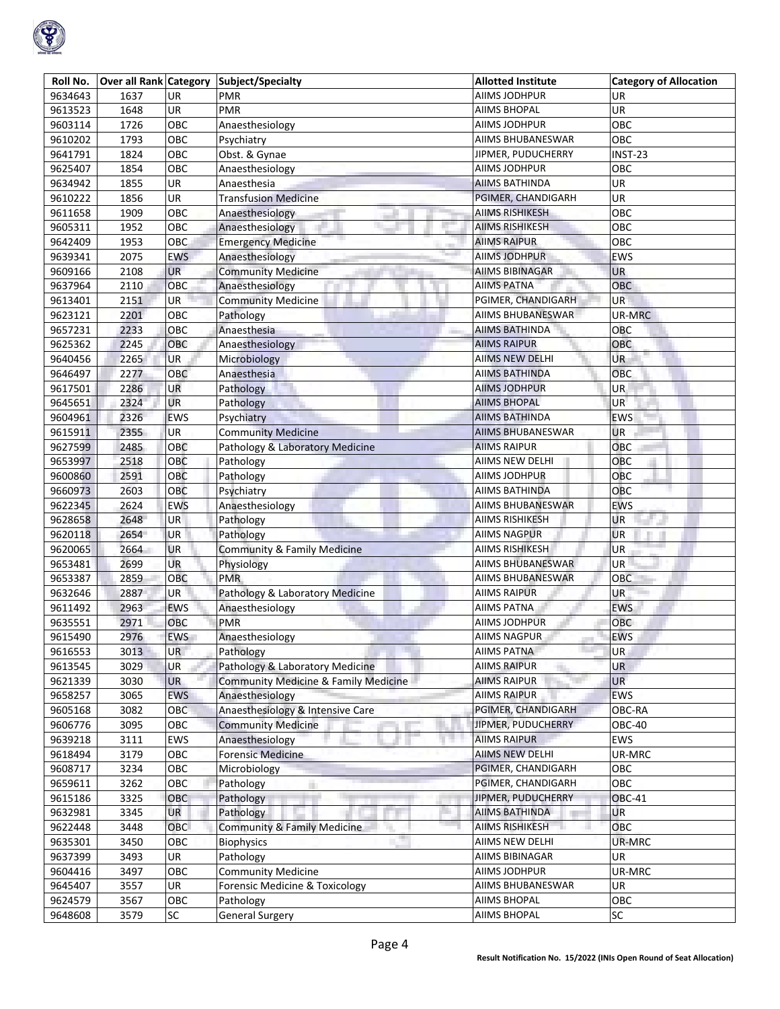

| Roll No. |      |            | Over all Rank Category Subject/Specialty        | <b>Allotted Institute</b>  | <b>Category of Allocation</b> |
|----------|------|------------|-------------------------------------------------|----------------------------|-------------------------------|
| 9634643  | 1637 | UR         | PMR                                             | <b>AIIMS JODHPUR</b>       | UR                            |
| 9613523  | 1648 | UR         | <b>PMR</b>                                      | <b>AIIMS BHOPAL</b>        | UR                            |
| 9603114  | 1726 | OBC        | Anaesthesiology                                 | AIIMS JODHPUR              | OBC                           |
| 9610202  | 1793 | OBC        | Psychiatry                                      | AIIMS BHUBANESWAR          | OBC                           |
| 9641791  | 1824 | OBC        | Obst. & Gynae                                   | JIPMER, PUDUCHERRY         | INST-23                       |
| 9625407  | 1854 | OBC        | Anaesthesiology                                 | <b>AIIMS JODHPUR</b>       | OBC                           |
| 9634942  | 1855 | <b>UR</b>  | Anaesthesia                                     | <b>AIIMS BATHINDA</b>      | UR                            |
| 9610222  | 1856 | <b>UR</b>  | <b>Transfusion Medicine</b>                     | PGIMER, CHANDIGARH         | UR                            |
| 9611658  | 1909 | OBC        | Anaesthesiology                                 | <b>AIIMS RISHIKESH</b>     | OBC                           |
| 9605311  | 1952 | OBC        | Anaesthesiology                                 | <b>AIIMS RISHIKESH</b>     | OBC                           |
| 9642409  | 1953 | OBC        | <b>Emergency Medicine</b>                       | <b>AIIMS RAIPUR</b>        | OBC                           |
| 9639341  | 2075 | EWS        | Anaesthesiology                                 | <b>AIIMS JODHPUR</b>       | EWS                           |
| 9609166  | 2108 | <b>UR</b>  | <b>Community Medicine</b>                       | <b>AIIMS BIBINAGAR</b>     | <b>UR</b>                     |
|          |      | OBC        |                                                 | <b>AIIMS PATNA</b>         | <b>OBC</b>                    |
| 9637964  | 2110 |            | Anaesthesiology                                 |                            |                               |
| 9613401  | 2151 | <b>UR</b>  | <b>Community Medicine</b>                       | PGIMER, CHANDIGARH         | UR                            |
| 9623121  | 2201 | OBC        | Pathology                                       | AIIMS BHUBANESWAR          | UR-MRC                        |
| 9657231  | 2233 | OBC        | Anaesthesia                                     | <b>AIIMS BATHINDA</b>      | OBC                           |
| 9625362  | 2245 | OBC        | Anaesthesiology                                 | <b>AIIMS RAIPUR</b>        | OBC                           |
| 9640456  | 2265 | <b>UR</b>  | Microbiology                                    | <b>AIIMS NEW DELHI</b>     | <b>UR</b>                     |
| 9646497  | 2277 | OBC        | Anaesthesia                                     | <b>AIIMS BATHINDA</b>      | ОВС                           |
| 9617501  | 2286 | UR         | Pathology                                       | AIIMS JODHPUR              | UR.                           |
| 9645651  | 2324 | <b>UR</b>  | Pathology                                       | <b>AIIMS BHOPAL</b>        | UR                            |
| 9604961  | 2326 | <b>EWS</b> | Psychiatry                                      | <b>AIIMS BATHINDA</b>      | <b>EWS</b>                    |
| 9615911  | 2355 | <b>UR</b>  | <b>Community Medicine</b>                       | <b>AIIMS BHUBANESWAR</b>   | UR                            |
| 9627599  | 2485 | OBC        | Pathology & Laboratory Medicine                 | <b>AIIMS RAIPUR</b>        | OBC                           |
| 9653997  | 2518 | OBC        | Pathology                                       | AIIMS NEW DELHI            | OBC                           |
| 9600860  | 2591 | OBC        | Pathology                                       | <b>AIIMS JODHPUR</b>       | OBC                           |
| 9660973  | 2603 | OBC        | Psychiatry                                      | <b>AIIMS BATHINDA</b>      | OBC                           |
| 9622345  | 2624 | EWS        | Anaesthesiology                                 | AIIMS BHUBANESWAR          | <b>EWS</b>                    |
| 9628658  | 2648 | UR         | Pathology                                       | <b>AIIMS RISHIKESH</b>     | UR                            |
| 9620118  | 2654 | <b>UR</b>  | Pathology                                       | <b>AIIMS NAGPUR</b>        | <b>UR</b>                     |
| 9620065  | 2664 | <b>UR</b>  | Community & Family Medicine                     | <b>AIIMS RISHIKESH</b>     | <b>UR</b>                     |
| 9653481  | 2699 | UR         | Physiology                                      | AIIMS BHUBANESWAR          | UR                            |
| 9653387  | 2859 | OBC        | PMR                                             | AIIMS BHUBANESWAR          | <b>OBC</b>                    |
| 9632646  | 2887 | UR.        | Pathology & Laboratory Medicine                 | <b>AIIMS RAIPUR</b>        | UR.                           |
| 9611492  | 2963 | EWS        | Anaesthesiology                                 | <b>AIIMS PATNA</b>         | <b>EWS</b>                    |
| 9635551  | 2971 | OBC        | <b>PMR</b>                                      | <b>AIIMS JODHPUR</b>       | <b>OBC</b>                    |
| 9615490  | 2976 | <b>EWS</b> | Anaesthesiology                                 | <b>AIIMS NAGPUR</b><br>- 1 | <b>EWS</b>                    |
| 9616553  | 3013 | UR         | Pathology                                       | <b>AIIMS PATNA</b>         | <b>UR</b>                     |
| 9613545  | 3029 | UR         | Pathology & Laboratory Medicine                 | <b>AIIMS RAIPUR</b>        | <b>UR</b>                     |
| 9621339  | 3030 | <b>UR</b>  | <b>Community Medicine &amp; Family Medicine</b> | <b>AIIMS RAIPUR</b>        | <b>UR</b>                     |
| 9658257  | 3065 | <b>EWS</b> | Anaesthesiology                                 | <b>AIIMS RAIPUR</b>        | <b>EWS</b>                    |
| 9605168  | 3082 | OBC        | Anaesthesiology & Intensive Care                | PGIMER, CHANDIGARH         | OBC-RA                        |
| 9606776  | 3095 | OBC        | <b>Community Medicine</b>                       | JIPMER, PUDUCHERRY         | <b>OBC-40</b>                 |
| 9639218  | 3111 | EWS        | Anaesthesiology                                 | <b>AIIMS RAIPUR</b>        | EWS                           |
| 9618494  | 3179 | OBC        | Forensic Medicine                               | <b>AIIMS NEW DELHI</b>     | UR-MRC                        |
| 9608717  | 3234 | OBC        | Microbiology                                    | PGIMER, CHANDIGARH         | OBC                           |
| 9659611  | 3262 | OBC        | Pathology                                       | PGIMER, CHANDIGARH         | OBC                           |
| 9615186  | 3325 | OBC        | Pathology                                       | JIPMER, PUDUCHERRY         | <b>OBC-41</b>                 |
| 9632981  | 3345 | <b>UR</b>  | Pathology                                       | AIIMS BATHINDA             | UR                            |
| 9622448  | 3448 | OBC        | <b>Community &amp; Family Medicine</b>          | <b>AIIMS RISHIKESH</b>     | OBC                           |
| 9635301  | 3450 | OBC        |                                                 | AIIMS NEW DELHI            | UR-MRC                        |
|          |      |            | <b>Biophysics</b>                               |                            | UR                            |
| 9637399  | 3493 | UR         | Pathology                                       | AIIMS BIBINAGAR            |                               |
| 9604416  | 3497 | OBC        | <b>Community Medicine</b>                       | AIIMS JODHPUR              | UR-MRC                        |
| 9645407  | 3557 | UR         | Forensic Medicine & Toxicology                  | AIIMS BHUBANESWAR          | UR                            |
| 9624579  | 3567 | OBC        | Pathology                                       | <b>AIIMS BHOPAL</b>        | OBC                           |
| 9648608  | 3579 | SC         | <b>General Surgery</b>                          | <b>AIIMS BHOPAL</b>        | ${\sf SC}$                    |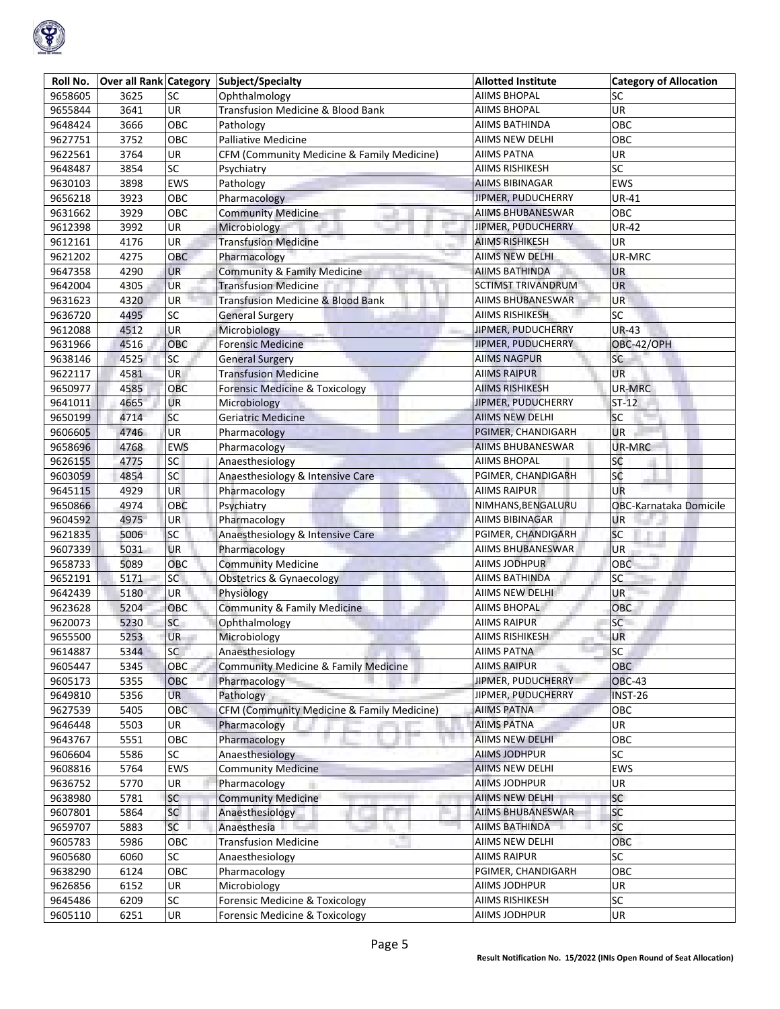

| Roll No.           | <b>Over all Rank Category</b> |            | Subject/Specialty                                         | <b>Allotted Institute</b> | <b>Category of Allocation</b> |
|--------------------|-------------------------------|------------|-----------------------------------------------------------|---------------------------|-------------------------------|
| 9658605            | 3625                          | <b>SC</b>  | Ophthalmology                                             | <b>AIIMS BHOPAL</b>       | SC                            |
| 9655844            | 3641                          | UR         | Transfusion Medicine & Blood Bank                         | <b>AIIMS BHOPAL</b>       | UR                            |
| 9648424            | 3666                          | OBC        | Pathology                                                 | <b>AIIMS BATHINDA</b>     | OBC                           |
| 9627751            | 3752                          | OBC        | Palliative Medicine                                       | AIIMS NEW DELHI           | OBC                           |
| 9622561            | 3764                          | UR         | CFM (Community Medicine & Family Medicine)                | <b>AIIMS PATNA</b>        | UR                            |
| 9648487            | 3854                          | SC         | Psychiatry                                                | <b>AIIMS RISHIKESH</b>    | SC                            |
| 9630103            | 3898                          | EWS        | Pathology                                                 | <b>AIIMS BIBINAGAR</b>    | EWS                           |
| 9656218            | 3923                          | OBC        | Pharmacology                                              | JIPMER, PUDUCHERRY        | <b>UR-41</b>                  |
| 9631662            | 3929                          | OBC        | <b>Community Medicine</b>                                 | AIIMS BHUBANESWAR         | OBC                           |
| 9612398            | 3992                          | UR         | Microbiology                                              | JIPMER, PUDUCHERRY        | UR-42                         |
| 9612161            | 4176                          | <b>UR</b>  | <b>Transfusion Medicine</b>                               | <b>AIIMS RISHIKESH</b>    | UR                            |
| 9621202            | 4275                          | <b>OBC</b> | Pharmacology                                              | <b>AIIMS NEW DELHI</b>    | UR-MRC                        |
| 9647358            | 4290                          | <b>UR</b>  | Community & Family Medicine                               | <b>AIIMS BATHINDA</b>     | UR                            |
| 9642004            | 4305                          | <b>UR</b>  | <b>Transfusion Medicine</b>                               | <b>SCTIMST TRIVANDRUM</b> | <b>UR</b>                     |
| 9631623            | 4320                          | UR         | Transfusion Medicine & Blood Bank                         | <b>AIIMS BHUBANESWAR</b>  | UR.                           |
| 9636720            | 4495                          | SC         | <b>General Surgery</b>                                    | <b>AIIMS RISHIKESH</b>    | SC                            |
| 9612088            | 4512                          | UR         | Microbiology                                              | JIPMER, PUDUCHERRY        | <b>UR-43</b>                  |
| 9631966            | 4516                          | OBC        | <b>Forensic Medicine</b>                                  | JIPMER, PUDUCHERRY        | OBC-42/OPH                    |
| 9638146            | 4525                          | SC         | <b>General Surgery</b>                                    | <b>AIIMS NAGPUR</b>       | SC                            |
| 9622117            | 4581                          | <b>UR</b>  | <b>Transfusion Medicine</b>                               | <b>AIIMS RAIPUR</b>       | UR.                           |
| 9650977            | 4585                          | OBC        | Forensic Medicine & Toxicology                            | AIIMS RISHIKESH           | UR-MRC                        |
| 9641011            | 4665                          | <b>UR</b>  | Microbiology                                              | JIPMER, PUDUCHERRY        | ST-12                         |
| 9650199            | 4714                          | SC         | <b>Geriatric Medicine</b>                                 | <b>AIIMS NEW DELHI</b>    | <b>SC</b>                     |
| 9606605            | 4746                          | <b>UR</b>  | Pharmacology                                              | PGIMER, CHANDIGARH        | <b>UR</b>                     |
| 9658696            | 4768                          | EWS        | Pharmacology                                              | <b>AIIMS BHUBANESWAR</b>  | UR-MRC                        |
| 9626155            | 4775                          | SC         | Anaesthesiology                                           | <b>AIIMS BHOPAL</b>       | SC                            |
| 9603059            | 4854                          | SC         | Anaesthesiology & Intensive Care                          | PGIMER, CHANDIGARH        | SC                            |
| 9645115            | 4929                          | <b>UR</b>  | Pharmacology                                              | <b>AIIMS RAIPUR</b>       | UR                            |
| 9650866            | 4974                          | OBC        | Psychiatry                                                | NIMHANS, BENGALURU        | <b>OBC-Karnataka Domicile</b> |
| 9604592            | 4975                          | UR         | Pharmacology                                              | <b>AIIMS BIBINAGAR</b>    | UR                            |
| 9621835            | 5006                          | SC         | Anaesthesiology & Intensive Care                          | PGIMER, CHANDIGARH        | SC<br>ш                       |
| 9607339            | 5031                          | <b>UR</b>  | Pharmacology                                              | AIIMS BHUBANESWAR         | <b>UR</b>                     |
| 9658733            | 5089                          | OBC        | <b>Community Medicine</b>                                 | <b>AIIMS JODHPUR</b>      | OBC                           |
| 9652191            | 5171                          | SC         | <b>Obstetrics &amp; Gynaecology</b>                       | <b>AIIMS BATHINDA</b>     | SC                            |
| 9642439            | 5180                          | <b>UR</b>  | Physiology                                                | <b>AIIMS NEW DELHI</b>    | <b>UR</b>                     |
| 9623628            | 5204                          | OBC        | Community & Family Medicine                               | <b>AIIMS BHOPAL</b>       | ОВС                           |
| 9620073            | 5230                          | SC         | Ophthalmology                                             | <b>AIIMS RAIPUR</b>       | SC                            |
| 9655500            | 5253                          | <b>UR</b>  | Microbiology                                              | <b>AIIMS RISHIKESH</b>    | <b>UR</b>                     |
| 9614887            | 5344                          | SC         | Anaesthesiology                                           | <b>AIIMS PATNA</b>        | <b>SC</b>                     |
| 9605447            | 5345                          | OBC        | Community Medicine & Family Medicine                      | <b>AIIMS RAIPUR</b>       | OBC                           |
| 9605173            | 5355                          | OBC        | Pharmacology                                              | JIPMER, PUDUCHERRY        | <b>OBC-43</b>                 |
| 9649810            | 5356                          | <b>UR</b>  | Pathology                                                 | JIPMER, PUDUCHERRY        | <b>INST-26</b>                |
| 9627539            | 5405                          | OBC        | CFM (Community Medicine & Family Medicine)                | <b>AIIMS PATNA</b>        | ОВС                           |
| 9646448            | 5503                          | UR         | Pharmacology                                              | <b>AIIMS PATNA</b>        | UR                            |
| 9643767            | 5551                          | OBC        | Pharmacology                                              | AIIMS NEW DELHI           | ОВС                           |
| 9606604            | 5586                          | SC         | Anaesthesiology                                           | <b>AIIMS JODHPUR</b>      | SC                            |
| 9608816            | 5764                          | EWS        | <b>Community Medicine</b>                                 | AIIMS NEW DELHI           | <b>EWS</b>                    |
| 9636752            | 5770                          | UR         | Pharmacology                                              | <b>AIIMS JODHPUR</b>      | UR                            |
| 9638980            | 5781                          | SC         | <b>Community Medicine</b>                                 | <b>AIIMS NEW DELHI</b>    | <b>SC</b>                     |
| 9607801            | 5864                          | <b>SC</b>  | Anaesthesiology                                           | <b>AIIMS BHUBANESWAR</b>  | SC                            |
| 9659707            | 5883                          | SC         | Anaesthesia                                               | <b>AIIMS BATHINDA</b>     | SC                            |
| 9605783            | 5986                          | OBC        | <b>Transfusion Medicine</b>                               | AIIMS NEW DELHI           | OBC                           |
| 9605680            | 6060                          | SC         | Anaesthesiology                                           | <b>AIIMS RAIPUR</b>       | SC                            |
| 9638290            | 6124                          | OBC        |                                                           | PGIMER, CHANDIGARH        | OBC                           |
|                    | 6152                          | UR         | Pharmacology                                              | AIIMS JODHPUR             | UR                            |
| 9626856<br>9645486 | 6209                          | SC         | Microbiology<br><b>Forensic Medicine &amp; Toxicology</b> | AIIMS RISHIKESH           | SC                            |
|                    |                               |            |                                                           |                           |                               |
| 9605110            | 6251                          | UR         | Forensic Medicine & Toxicology                            | AIIMS JODHPUR             | UR                            |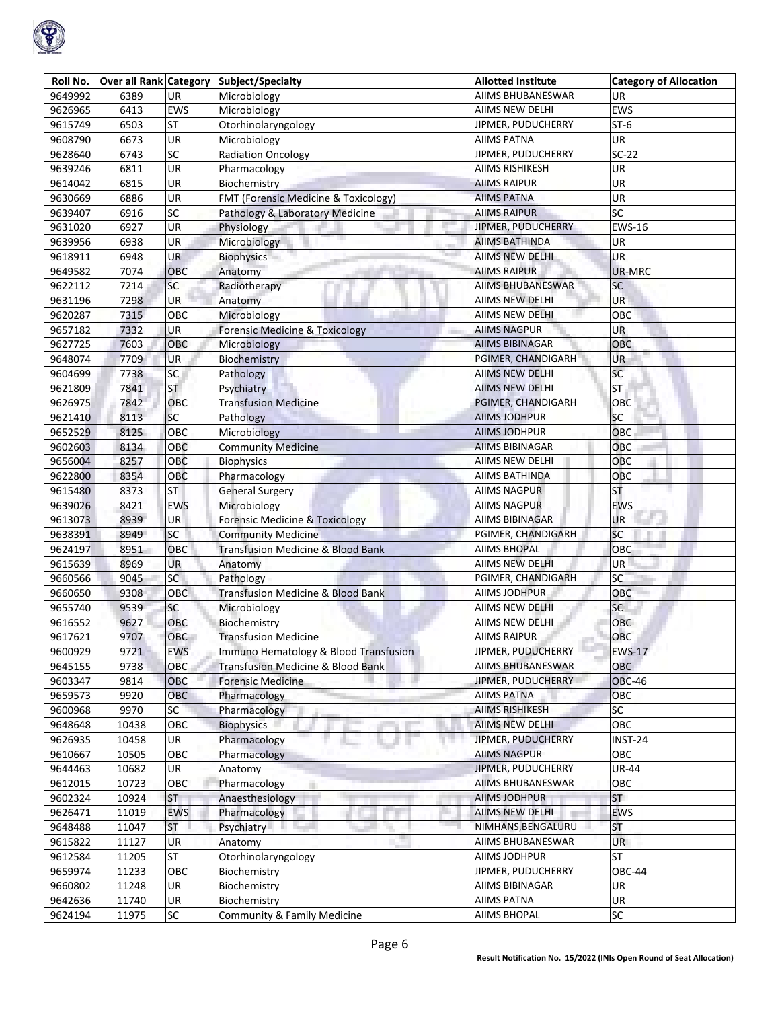

| Roll No. |       |            | Over all Rank Category Subject/Specialty     | <b>Allotted Institute</b> | <b>Category of Allocation</b> |
|----------|-------|------------|----------------------------------------------|---------------------------|-------------------------------|
| 9649992  | 6389  | <b>UR</b>  | Microbiology                                 | AIIMS BHUBANESWAR         | UR                            |
| 9626965  | 6413  | EWS        | Microbiology                                 | <b>AIIMS NEW DELHI</b>    | EWS                           |
| 9615749  | 6503  | <b>ST</b>  | Otorhinolaryngology                          | JIPMER, PUDUCHERRY        | $ST-6$                        |
| 9608790  | 6673  | UR         | Microbiology                                 | <b>AIIMS PATNA</b>        | UR                            |
| 9628640  | 6743  | SC         | <b>Radiation Oncology</b>                    | JIPMER, PUDUCHERRY        | $SC-22$                       |
| 9639246  | 6811  | <b>UR</b>  | Pharmacology                                 | <b>AIIMS RISHIKESH</b>    | UR                            |
| 9614042  | 6815  | UR         | Biochemistry                                 | <b>AIIMS RAIPUR</b>       | UR                            |
| 9630669  | 6886  | UR         | FMT (Forensic Medicine & Toxicology)         | <b>AIIMS PATNA</b>        | UR                            |
| 9639407  | 6916  | SC         | Pathology & Laboratory Medicine              | <b>AIIMS RAIPUR</b>       | SC                            |
| 9631020  | 6927  | UR         | <b>Physiology</b>                            | JIPMER, PUDUCHERRY        | EWS-16                        |
| 9639956  | 6938  | UR         | Microbiology                                 | AIIMS BATHINDA            | UR                            |
| 9618911  | 6948  | UR         | <b>Biophysics</b>                            | <b>AIIMS NEW DELHI</b>    | <b>UR</b>                     |
| 9649582  | 7074  | OBC        | Anatomy                                      | <b>AIIMS RAIPUR</b>       | UR-MRC                        |
| 9622112  | 7214  | SC         | Radiotherapy                                 | AIIMS BHUBANESWAR         | SC                            |
| 9631196  | 7298  | <b>UR</b>  | Anatomy                                      | <b>AIIMS NEW DELHI</b>    | <b>UR</b>                     |
| 9620287  | 7315  | OBC        | Microbiology                                 | AIIMS NEW DELHI           | OBC                           |
| 9657182  | 7332  | UR         | <b>Forensic Medicine &amp; Toxicology</b>    | <b>AIIMS NAGPUR</b>       | UR                            |
| 9627725  | 7603  | OBC        | Microbiology                                 | <b>AIIMS BIBINAGAR</b>    | OBC                           |
| 9648074  | 7709  | <b>UR</b>  | Biochemistry                                 | PGIMER, CHANDIGARH        | <b>UR</b>                     |
| 9604699  | 7738  | SC         | Pathology                                    | AIIMS NEW DELHI           | SC                            |
| 9621809  | 7841  | <b>ST</b>  | Psychiatry                                   | AIIMS NEW DELHI           | <b>ST</b>                     |
| 9626975  | 7842  | OBC        | <b>Transfusion Medicine</b>                  | PGIMER, CHANDIGARH        | ОВС                           |
| 9621410  | 8113  | SC         | Pathology                                    | <b>AIIMS JODHPUR</b>      | <b>SC</b>                     |
| 9652529  | 8125  | OBC        | Microbiology                                 | <b>AIIMS JODHPUR</b>      | OBC                           |
| 9602603  | 8134  | OBC        | <b>Community Medicine</b>                    | <b>AIIMS BIBINAGAR</b>    | OBC                           |
| 9656004  | 8257  | OBC        | <b>Biophysics</b>                            | AIIMS NEW DELHI           | ОВС                           |
| 9622800  | 8354  | OBC        | Pharmacology                                 | AIIMS BATHINDA            | OBC                           |
| 9615480  | 8373  | <b>ST</b>  | <b>General Surgery</b>                       | <b>AIIMS NAGPUR</b>       | ST                            |
| 9639026  | 8421  | <b>EWS</b> | Microbiology                                 | <b>AIIMS NAGPUR</b>       | <b>EWS</b>                    |
| 9613073  | 8939  | UR         | <b>Forensic Medicine &amp; Toxicology</b>    | <b>AIIMS BIBINAGAR</b>    | UR                            |
| 9638391  | 8949  | SC         | <b>Community Medicine</b>                    | PGIMER, CHANDIGARH        | SC                            |
| 9624197  | 8951  | OBC        | Transfusion Medicine & Blood Bank            | <b>AIIMS BHOPAL</b>       | OBC                           |
| 9615639  | 8969  | UR         | Anatomy                                      | AIIMS NEW DELHI           | UR.                           |
| 9660566  | 9045  | SC         | Pathology                                    | PGIMER, CHANDIGARH        | SC                            |
| 9660650  | 9308  | OBC        | <b>Transfusion Medicine &amp; Blood Bank</b> | <b>AIIMS JODHPUR</b>      | OBC                           |
| 9655740  | 9539  | <b>SC</b>  | Microbiology                                 | AIIMS NEW DELHI           | SC                            |
| 9616552  | 9627  | OBC        | Biochemistry                                 | AIIMS NEW DELHI           | OBC                           |
| 9617621  | 9707  | OBC        | <b>Transfusion Medicine</b>                  | <b>AIIMS RAIPUR</b>       | OBC                           |
| 9600929  | 9721  | <b>EWS</b> | Immuno Hematology & Blood Transfusion        | JIPMER, PUDUCHERRY        | <b>EWS-17</b>                 |
| 9645155  | 9738  | OBC        | Transfusion Medicine & Blood Bank            | <b>AIIMS BHUBANESWAR</b>  | OBC                           |
| 9603347  | 9814  | OBC        | <b>Forensic Medicine</b>                     | JIPMER, PUDUCHERRY        | <b>OBC-46</b>                 |
| 9659573  | 9920  | OBC        | Pharmacology                                 | <b>AIIMS PATNA</b>        | OBC                           |
| 9600968  | 9970  | <b>SC</b>  | Pharmacology                                 | <b>AIIMS RISHIKESH</b>    | SC                            |
| 9648648  | 10438 | OBC        | <b>Biophysics</b>                            | <b>AIIMS NEW DELHI</b>    | OBC                           |
| 9626935  | 10458 | UR         | Pharmacology                                 | JIPMER, PUDUCHERRY        | INST-24                       |
| 9610667  | 10505 | OBC        | Pharmacology                                 | <b>AIIMS NAGPUR</b>       | ОВС                           |
| 9644463  | 10682 | <b>UR</b>  | Anatomy                                      | JIPMER, PUDUCHERRY        | <b>UR-44</b>                  |
| 9612015  | 10723 | OBC        | Pharmacology                                 | <b>AIIMS BHUBANESWAR</b>  | ОВС                           |
| 9602324  | 10924 | <b>ST</b>  | Anaesthesiology                              | <b>AIIMS JODHPUR</b>      | <b>ST</b>                     |
| 9626471  | 11019 | <b>EWS</b> | Pharmacology                                 | <b>AIIMS NEW DELHI</b>    | EWS                           |
| 9648488  | 11047 | <b>ST</b>  | Psychiatry                                   | NIMHANS, BENGALURU        | <b>ST</b>                     |
| 9615822  | 11127 | UR         | Anatomy                                      | AIIMS BHUBANESWAR         | UR                            |
| 9612584  | 11205 | <b>ST</b>  | Otorhinolaryngology                          | AIIMS JODHPUR             | <b>ST</b>                     |
| 9659974  | 11233 | OBC        | Biochemistry                                 | JIPMER, PUDUCHERRY        | <b>OBC-44</b>                 |
| 9660802  | 11248 | UR         | Biochemistry                                 | AIIMS BIBINAGAR           | UR                            |
| 9642636  | 11740 | UR         | Biochemistry                                 | <b>AIIMS PATNA</b>        | UR                            |
| 9624194  | 11975 | SC         | Community & Family Medicine                  | <b>AIIMS BHOPAL</b>       | SC                            |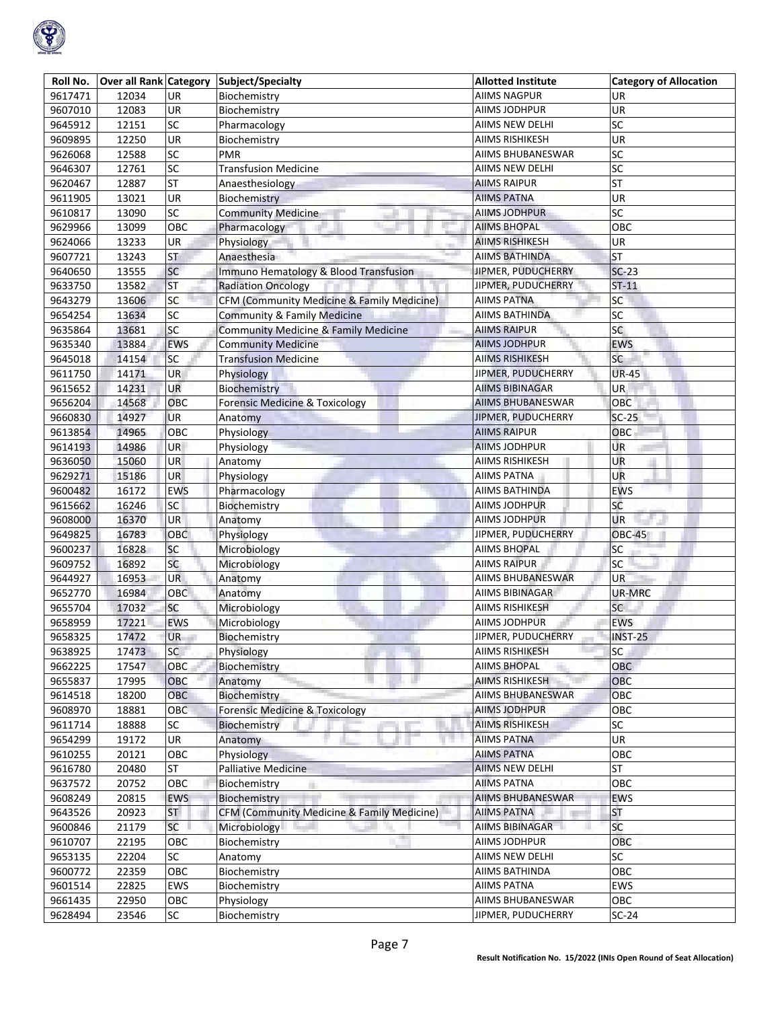

| Roll No. | <b>Over all Rank Category</b> |            | Subject/Specialty                               | <b>Allotted Institute</b> | <b>Category of Allocation</b> |
|----------|-------------------------------|------------|-------------------------------------------------|---------------------------|-------------------------------|
| 9617471  | 12034                         | UR         | Biochemistry                                    | <b>AIIMS NAGPUR</b>       | UR                            |
| 9607010  | 12083                         | UR         | Biochemistry                                    | <b>AIIMS JODHPUR</b>      | UR                            |
| 9645912  | 12151                         | SC         | Pharmacology                                    | AIIMS NEW DELHI           | SC                            |
| 9609895  | 12250                         | UR         | Biochemistry                                    | <b>AIIMS RISHIKESH</b>    | UR                            |
| 9626068  | 12588                         | SC         | <b>PMR</b>                                      | AIIMS BHUBANESWAR         | SC                            |
| 9646307  | 12761                         | SC         | <b>Transfusion Medicine</b>                     | <b>AIIMS NEW DELHI</b>    | SC                            |
| 9620467  | 12887                         | <b>ST</b>  | Anaesthesiology                                 | <b>AIIMS RAIPUR</b>       | <b>ST</b>                     |
| 9611905  | 13021                         | UR         | Biochemistry                                    | <b>AIIMS PATNA</b>        | UR                            |
| 9610817  | 13090                         | SC         | <b>Community Medicine</b>                       | AIIMS JODHPUR             | SC                            |
| 9629966  | 13099                         | OBC        | Pharmacology                                    | <b>AIIMS BHOPAL</b>       | OBC                           |
| 9624066  | 13233                         | <b>UR</b>  | Physiology<br><b>COLLECT</b>                    | <b>AIIMS RISHIKESH</b>    | <b>UR</b>                     |
| 9607721  | 13243                         | <b>ST</b>  | Anaesthesia                                     | <b>AIIMS BATHINDA</b>     | <b>ST</b>                     |
| 9640650  | 13555                         | SC         | Immuno Hematology & Blood Transfusion           | JIPMER, PUDUCHERRY        | $SC-23$                       |
| 9633750  | 13582                         | <b>ST</b>  | <b>Radiation Oncology</b>                       | JIPMER, PUDUCHERRY        | $ST-11$                       |
| 9643279  | 13606                         | SC         | CFM (Community Medicine & Family Medicine)      | <b>AIIMS PATNA</b>        | SC                            |
| 9654254  | 13634                         | SC         | <b>Community &amp; Family Medicine</b>          | <b>AIIMS BATHINDA</b>     | SC                            |
| 9635864  | 13681                         | <b>SC</b>  | <b>Community Medicine &amp; Family Medicine</b> | <b>AIIMS RAIPUR</b>       | SC                            |
| 9635340  | 13884                         | <b>EWS</b> | <b>Community Medicine</b>                       | <b>AIIMS JODHPUR</b>      | <b>EWS</b>                    |
| 9645018  | 14154                         | SC         | <b>Transfusion Medicine</b>                     | <b>AIIMS RISHIKESH</b>    | SC                            |
| 9611750  | 14171                         | <b>UR</b>  | Physiology                                      | JIPMER, PUDUCHERRY        | <b>UR-45</b>                  |
| 9615652  | 14231                         | UR         | Biochemistry                                    | AIIMS BIBINAGAR           | UR.                           |
| 9656204  | 14568                         | OBC        | Forensic Medicine & Toxicology                  | <b>AIIMS BHUBANESWAR</b>  | OBC                           |
| 9660830  | 14927                         | <b>UR</b>  | Anatomy                                         | JIPMER, PUDUCHERRY        | $SC-25$                       |
| 9613854  | 14965                         | OBC        | Physiology                                      | <b>AIIMS RAIPUR</b>       | <b>OBC</b>                    |
| 9614193  | 14986                         | <b>UR</b>  | Physiology                                      | <b>AIIMS JODHPUR</b>      | UR                            |
| 9636050  | 15060                         | <b>UR</b>  | Anatomy                                         | <b>AIIMS RISHIKESH</b>    | UR                            |
| 9629271  | 15186                         | UR         | Physiology                                      | <b>AIIMS PATNA</b>        | UR                            |
| 9600482  | 16172                         | <b>EWS</b> | Pharmacology                                    | AIIMS BATHINDA            | EWS                           |
| 9615662  | 16246                         | <b>SC</b>  | Biochemistry                                    | <b>AIIMS JODHPUR</b>      | SC                            |
| 9608000  | 16370                         | UR         | Anatomy                                         | <b>AIIMS JODHPUR</b>      | UR                            |
| 9649825  | 16783                         | <b>OBC</b> | Physiology                                      | JIPMER, PUDUCHERRY        | <b>OBC-45</b>                 |
| 9600237  | 16828                         | SC         | Microbiology                                    | <b>AIIMS BHOPAL</b>       | SC                            |
| 9609752  | 16892                         | SC         | Microbiology                                    | <b>AIIMS RAIPUR</b>       | SC                            |
| 9644927  | 16953                         | UR         | Anatomy                                         | AIIMS BHUBANESWAR         | UR                            |
| 9652770  | 16984                         | OBC        | Anatomy                                         | <b>AIIMS BIBINAGAR</b>    | UR-MRC                        |
| 9655704  | 17032                         | <b>SC</b>  | Microbiology                                    | <b>AIIMS RISHIKESH</b>    | SC                            |
| 9658959  | 17221                         | <b>EWS</b> | Microbiology                                    | <b>AIIMS JODHPUR</b>      | <b>EWS</b>                    |
| 9658325  | 17472                         | UR.        | Biochemistry                                    | JIPMER, PUDUCHERRY        | <b>INST-25</b>                |
| 9638925  | 17473                         | <b>SC</b>  | Physiology                                      | <b>AIIMS RISHIKESH</b>    | <b>SC</b>                     |
| 9662225  | 17547                         | OBC        | Biochemistry                                    | <b>AIIMS BHOPAL</b>       | <b>OBC</b>                    |
| 9655837  | 17995                         | OBC        | Anatomy                                         | <b>AIIMS RISHIKESH</b>    | OBC                           |
| 9614518  | 18200                         | OBC        | Biochemistry                                    | <b>AIIMS BHUBANESWAR</b>  | OBC                           |
| 9608970  | 18881                         | OBC        | <b>Forensic Medicine &amp; Toxicology</b>       | <b>AIIMS JODHPUR</b>      | OBC                           |
| 9611714  | 18888                         | SC         | Biochemistry                                    | <b>AIIMS RISHIKESH</b>    | SC                            |
| 9654299  | 19172                         | UR         | Anatomy                                         | <b>AIIMS PATNA</b>        | UR                            |
| 9610255  | 20121                         | OBC        | Physiology                                      | <b>AIIMS PATNA</b>        | OBC                           |
| 9616780  | 20480                         | <b>ST</b>  | Palliative Medicine                             | <b>AIIMS NEW DELHI</b>    | <b>ST</b>                     |
| 9637572  | 20752                         | OBC        | Biochemistry                                    | <b>AIIMS PATNA</b>        | OBC                           |
| 9608249  | 20815                         | <b>EWS</b> | Biochemistry                                    | <b>AIIMS BHUBANESWAR</b>  | EWS                           |
| 9643526  | 20923                         | <b>ST</b>  | CFM (Community Medicine & Family Medicine)      | <b>AIIMS PATNA</b>        | ST                            |
| 9600846  | 21179                         | SC         | Microbiology                                    | <b>AIIMS BIBINAGAR</b>    | SC                            |
| 9610707  | 22195                         | OBC        | Biochemistry                                    | AIIMS JODHPUR             | OBC                           |
| 9653135  | 22204                         | SC         | Anatomy                                         | AIIMS NEW DELHI           | SC                            |
| 9600772  | 22359                         | OBC        | Biochemistry                                    | AIIMS BATHINDA            | OBC                           |
| 9601514  | 22825                         | EWS        | Biochemistry                                    | AIIMS PATNA               | EWS                           |
| 9661435  | 22950                         | OBC        | Physiology                                      | AIIMS BHUBANESWAR         | OBC                           |
| 9628494  | 23546                         | SC         | Biochemistry                                    | JIPMER, PUDUCHERRY        | $SC-24$                       |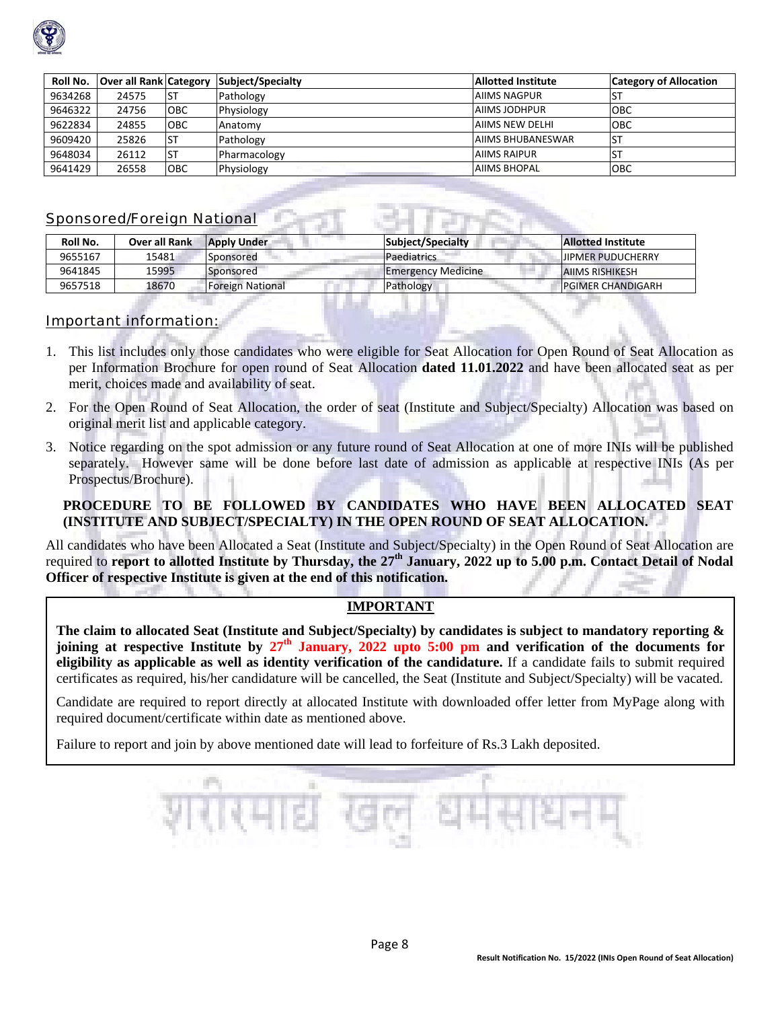

| Roll No. | <b>Over all Rank Category</b> |            | Subject/Specialty | Allotted Institute      | <b>Category of Allocation</b> |
|----------|-------------------------------|------------|-------------------|-------------------------|-------------------------------|
| 9634268  | 24575                         | IST        | Pathology         | IAIIMS NAGPUR           |                               |
| 9646322  | 24756                         | <b>OBC</b> | Physiology        | IAIIMS JODHPUR          | <b>OBC</b>                    |
| 9622834  | 24855                         | <b>OBC</b> | <b>Anatomy</b>    | <b>JAIIMS NEW DELHI</b> | <b>OBC</b>                    |
| 9609420  | 25826                         | <b>ST</b>  | Pathology         | IAIIMS BHUBANESWAR      |                               |
| 9648034  | 26112                         | <b>IST</b> | Pharmacology      | <b>AIIMS RAIPUR</b>     |                               |
| 9641429  | 26558                         | <b>OBC</b> | Physiology        | <b>AIIMS BHOPAL</b>     | <b>OBC</b>                    |

**COM** 

## Sponsored/Foreign National

| Roll No. | Over all Rank | Apply Under      | Subject/Specialty         | <b>Allotted Institute</b> |
|----------|---------------|------------------|---------------------------|---------------------------|
| 9655167  | 15481         | Sponsored        | <b>Paediatrics</b>        | LJIPMER PUDUCHERRY        |
| 9641845  | 15995         | Sponsored        | <b>Emergency Medicine</b> | AIIMS RISHIKESH           |
| 9657518  | 18670         | Foreign National | Pathology                 | <b>IPGIMER CHANDIGARH</b> |

# Important information:

- 1. This list includes only those candidates who were eligible for Seat Allocation for Open Round of Seat Allocation as per Information Brochure for open round of Seat Allocation **dated 11.01.2022** and have been allocated seat as per merit, choices made and availability of seat.
- 2. For the Open Round of Seat Allocation, the order of seat (Institute and Subject/Specialty) Allocation was based on original merit list and applicable category.
- 3. Notice regarding on the spot admission or any future round of Seat Allocation at one of more INIs will be published separately. However same will be done before last date of admission as applicable at respective INIs (As per Prospectus/Brochure).

## **PROCEDURE TO BE FOLLOWED BY CANDIDATES WHO HAVE BEEN ALLOCATED SEAT (INSTITUTE AND SUBJECT/SPECIALTY) IN THE OPEN ROUND OF SEAT ALLOCATION.**

All candidates who have been Allocated a Seat (Institute and Subject/Specialty) in the Open Round of Seat Allocation are required to **report to allotted Institute by Thursday, the 27th January, 2022 up to 5.00 p.m. Contact Detail of Nodal Officer of respective Institute is given at the end of this notification.** 

## **IMPORTANT**

**The claim to allocated Seat (Institute and Subject/Specialty) by candidates is subject to mandatory reporting & joining at respective Institute by 27th January, 2022 upto 5:00 pm and verification of the documents for eligibility as applicable as well as identity verification of the candidature.** If a candidate fails to submit required certificates as required, his/her candidature will be cancelled, the Seat (Institute and Subject/Specialty) will be vacated.

Candidate are required to report directly at allocated Institute with downloaded offer letter from MyPage along with required document/certificate within date as mentioned above.

Failure to report and join by above mentioned date will lead to forfeiture of Rs.3 Lakh deposited.

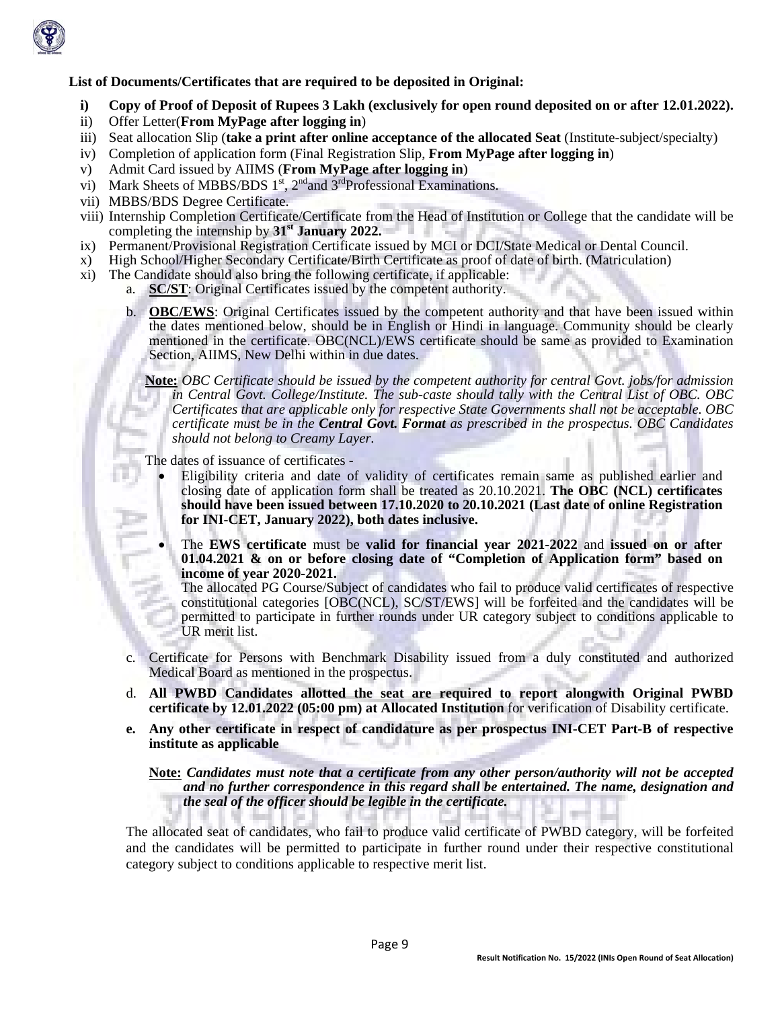

### **List of Documents/Certificates that are required to be deposited in Original:**

- **i) Copy of Proof of Deposit of Rupees 3 Lakh (exclusively for open round deposited on or after 12.01.2022).**
- ii) Offer Letter(**From MyPage after logging in**)
- iii) Seat allocation Slip (**take a print after online acceptance of the allocated Seat** (Institute-subject/specialty)
- iv) Completion of application form (Final Registration Slip, **From MyPage after logging in**)
- v) Admit Card issued by AIIMS (**From MyPage after logging in**)
- vi) Mark Sheets of MBBS/BDS  $1<sup>st</sup>$ ,  $2<sup>nd</sup>$  and  $3<sup>rd</sup>$ Professional Examinations.
- vii) MBBS/BDS Degree Certificate.
- viii) Internship Completion Certificate/Certificate from the Head of Institution or College that the candidate will be completing the internship by **31st January 2022.**
- ix) Permanent/Provisional Registration Certificate issued by MCI or DCI/State Medical or Dental Council.
- x) High School/Higher Secondary Certificate/Birth Certificate as proof of date of birth. (Matriculation)
- xi) The Candidate should also bring the following certificate, if applicable:
	- a. **SC/ST**: Original Certificates issued by the competent authority.
	- b. **OBC/EWS**: Original Certificates issued by the competent authority and that have been issued within the dates mentioned below, should be in English or Hindi in language. Community should be clearly mentioned in the certificate. OBC(NCL)/EWS certificate should be same as provided to Examination Section, AIIMS, New Delhi within in due dates.
		- **Note:** *OBC Certificate should be issued by the competent authority for central Govt. jobs/for admission in Central Govt. College/Institute. The sub-caste should tally with the Central List of OBC. OBC Certificates that are applicable only for respective State Governments shall not be acceptable. OBC certificate must be in the Central Govt. Format as prescribed in the prospectus. OBC Candidates should not belong to Creamy Layer.*

#### The dates of issuance of certificates -

- Eligibility criteria and date of validity of certificates remain same as published earlier and closing date of application form shall be treated as 20.10.2021. **The OBC (NCL) certificates should have been issued between 17.10.2020 to 20.10.2021 (Last date of online Registration for INI-CET, January 2022), both dates inclusive.**
- The **EWS certificate** must be **valid for financial year 2021-2022** and **issued on or after 01.04.2021 & on or before closing date of "Completion of Application form" based on income of year 2020-2021.**

The allocated PG Course/Subject of candidates who fail to produce valid certificates of respective constitutional categories [OBC(NCL), SC/ST/EWS] will be forfeited and the candidates will be permitted to participate in further rounds under UR category subject to conditions applicable to UR merit list.

- c. Certificate for Persons with Benchmark Disability issued from a duly constituted and authorized Medical Board as mentioned in the prospectus.
- d. **All PWBD Candidates allotted the seat are required to report alongwith Original PWBD certificate by 12.01.2022 (05:00 pm) at Allocated Institution** for verification of Disability certificate.
- **e. Any other certificate in respect of candidature as per prospectus INI-CET Part-B of respective institute as applicable**

**Note:** *Candidates must note that a certificate from any other person/authority will not be accepted and no further correspondence in this regard shall be entertained. The name, designation and the seal of the officer should be legible in the certificate.*

The allocated seat of candidates, who fail to produce valid certificate of PWBD category, will be forfeited and the candidates will be permitted to participate in further round under their respective constitutional category subject to conditions applicable to respective merit list.